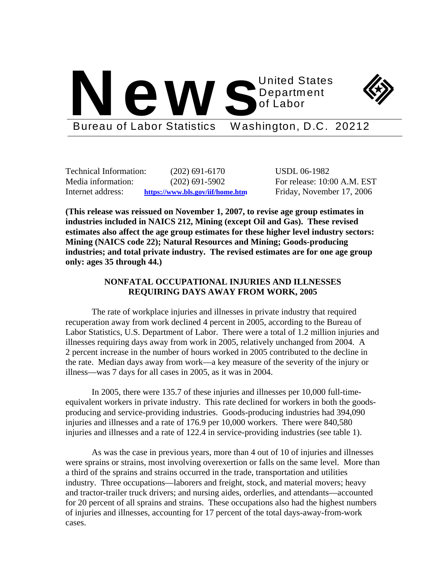



Bureau of Labor Statistics Washington, D.C. 20212

Technical Information: (202) 691-6170 USDL 06-1982 Media information: (202) 691-5902 For release: 10:00 A.M. EST Internet address: **https://www.bls.gov/iif/home.htm** Friday, November 17, 2006

**(This release was reissued on November 1, 2007, to revise age group estimates in industries included in NAICS 212, Mining (except Oil and Gas). These revised estimates also affect the age group estimates for these higher level industry sectors: Mining (NAICS code 22); Natural Resources and Mining; Goods-producing industries; and total private industry. The revised estimates are for one age group only: ages 35 through 44.)** 

# **NONFATAL OCCUPATIONAL INJURIES AND ILLNESSES REQUIRING DAYS AWAY FROM WORK, 2005**

The rate of workplace injuries and illnesses in private industry that required recuperation away from work declined 4 percent in 2005, according to the Bureau of Labor Statistics, U.S. Department of Labor. There were a total of 1.2 million injuries and illnesses requiring days away from work in 2005, relatively unchanged from 2004. A 2 percent increase in the number of hours worked in 2005 contributed to the decline in the rate. Median days away from work—a key measure of the severity of the injury or illness—was 7 days for all cases in 2005, as it was in 2004.

In 2005, there were 135.7 of these injuries and illnesses per 10,000 full-timeequivalent workers in private industry. This rate declined for workers in both the goodsproducing and service-providing industries. Goods-producing industries had 394,090 injuries and illnesses and a rate of 176.9 per 10,000 workers. There were 840,580 injuries and illnesses and a rate of 122.4 in service-providing industries (see table 1).

As was the case in previous years, more than 4 out of 10 of injuries and illnesses were sprains or strains, most involving overexertion or falls on the same level. More than a third of the sprains and strains occurred in the trade, transportation and utilities industry. Three occupations—laborers and freight, stock, and material movers; heavy and tractor-trailer truck drivers; and nursing aides, orderlies, and attendants—accounted for 20 percent of all sprains and strains. These occupations also had the highest numbers of injuries and illnesses, accounting for 17 percent of the total days-away-from-work cases.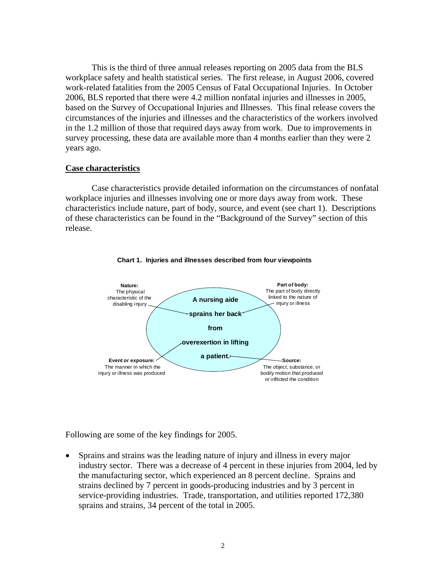This is the third of three annual releases reporting on 2005 data from the BLS workplace safety and health statistical series. The first release, in August 2006, covered work-related fatalities from the 2005 Census of Fatal Occupational Injuries. In October 2006, BLS reported that there were 4.2 million nonfatal injuries and illnesses in 2005, based on the Survey of Occupational Injuries and Illnesses. This final release covers the circumstances of the injuries and illnesses and the characteristics of the workers involved in the 1.2 million of those that required days away from work. Due to improvements in survey processing, these data are available more than 4 months earlier than they were 2 years ago.

### **Case characteristics**

Case characteristics provide detailed information on the circumstances of nonfatal workplace injuries and illnesses involving one or more days away from work. These characteristics include nature, part of body, source, and event (see chart 1). Descriptions of these characteristics can be found in the "Background of the Survey" section of this release.



**Chart 1. Injuries and illnesses described from four viewpoints**

Following are some of the key findings for 2005.

• Sprains and strains was the leading nature of injury and illness in every major industry sector. There was a decrease of 4 percent in these injuries from 2004, led by the manufacturing sector, which experienced an 8 percent decline. Sprains and strains declined by 7 percent in goods-producing industries and by 3 percent in service-providing industries. Trade, transportation, and utilities reported 172,380 sprains and strains, 34 percent of the total in 2005.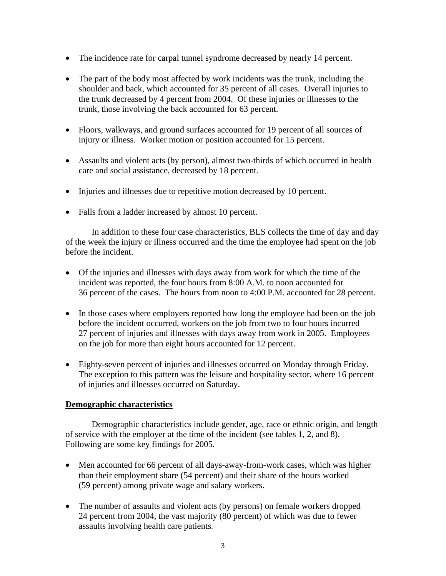- The incidence rate for carpal tunnel syndrome decreased by nearly 14 percent.
- The part of the body most affected by work incidents was the trunk, including the shoulder and back, which accounted for 35 percent of all cases. Overall injuries to the trunk decreased by 4 percent from 2004. Of these injuries or illnesses to the trunk, those involving the back accounted for 63 percent.
- Floors, walkways, and ground surfaces accounted for 19 percent of all sources of injury or illness. Worker motion or position accounted for 15 percent.
- Assaults and violent acts (by person), almost two-thirds of which occurred in health care and social assistance, decreased by 18 percent.
- Injuries and illnesses due to repetitive motion decreased by 10 percent.
- Falls from a ladder increased by almost 10 percent.

In addition to these four case characteristics, BLS collects the time of day and day of the week the injury or illness occurred and the time the employee had spent on the job before the incident.

- Of the injuries and illnesses with days away from work for which the time of the incident was reported, the four hours from 8:00 A.M. to noon accounted for 36 percent of the cases. The hours from noon to 4:00 P.M. accounted for 28 percent.
- In those cases where employers reported how long the employee had been on the job before the incident occurred, workers on the job from two to four hours incurred 27 percent of injuries and illnesses with days away from work in 2005. Employees on the job for more than eight hours accounted for 12 percent.
- Eighty-seven percent of injuries and illnesses occurred on Monday through Friday. The exception to this pattern was the leisure and hospitality sector, where 16 percent of injuries and illnesses occurred on Saturday.

## **Demographic characteristics**

 Demographic characteristics include gender, age, race or ethnic origin, and length of service with the employer at the time of the incident (see tables 1, 2, and 8). Following are some key findings for 2005.

- Men accounted for 66 percent of all days-away-from-work cases, which was higher than their employment share (54 percent) and their share of the hours worked (59 percent) among private wage and salary workers.
- The number of assaults and violent acts (by persons) on female workers dropped 24 percent from 2004, the vast majority (80 percent) of which was due to fewer assaults involving health care patients.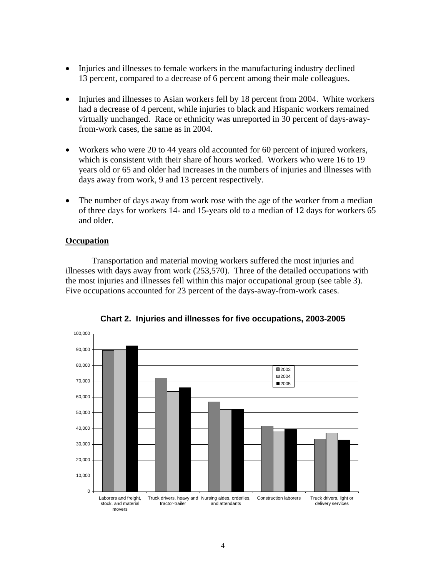- Injuries and illnesses to female workers in the manufacturing industry declined 13 percent, compared to a decrease of 6 percent among their male colleagues.
- Injuries and illnesses to Asian workers fell by 18 percent from 2004. White workers had a decrease of 4 percent, while injuries to black and Hispanic workers remained virtually unchanged. Race or ethnicity was unreported in 30 percent of days-awayfrom-work cases, the same as in 2004.
- Workers who were 20 to 44 years old accounted for 60 percent of injured workers, which is consistent with their share of hours worked. Workers who were 16 to 19 years old or 65 and older had increases in the numbers of injuries and illnesses with days away from work, 9 and 13 percent respectively.
- The number of days away from work rose with the age of the worker from a median of three days for workers 14- and 15-years old to a median of 12 days for workers 65 and older.

## **Occupation**

Transportation and material moving workers suffered the most injuries and illnesses with days away from work (253,570). Three of the detailed occupations with the most injuries and illnesses fell within this major occupational group (see table 3). Five occupations accounted for 23 percent of the days-away-from-work cases.



**Chart 2. Injuries and illnesses for five occupations, 2003-2005**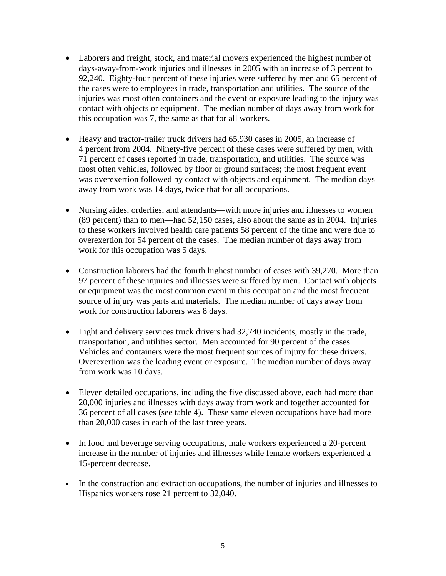- Laborers and freight, stock, and material movers experienced the highest number of days-away-from-work injuries and illnesses in 2005 with an increase of 3 percent to 92,240. Eighty-four percent of these injuries were suffered by men and 65 percent of the cases were to employees in trade, transportation and utilities. The source of the injuries was most often containers and the event or exposure leading to the injury was contact with objects or equipment. The median number of days away from work for this occupation was 7, the same as that for all workers.
- Heavy and tractor-trailer truck drivers had 65,930 cases in 2005, an increase of 4 percent from 2004. Ninety-five percent of these cases were suffered by men, with 71 percent of cases reported in trade, transportation, and utilities. The source was most often vehicles, followed by floor or ground surfaces; the most frequent event was overexertion followed by contact with objects and equipment. The median days away from work was 14 days, twice that for all occupations.
- Nursing aides, orderlies, and attendants—with more injuries and illnesses to women (89 percent) than to men—had 52,150 cases, also about the same as in 2004. Injuries to these workers involved health care patients 58 percent of the time and were due to overexertion for 54 percent of the cases. The median number of days away from work for this occupation was 5 days.
- Construction laborers had the fourth highest number of cases with 39,270. More than 97 percent of these injuries and illnesses were suffered by men. Contact with objects or equipment was the most common event in this occupation and the most frequent source of injury was parts and materials. The median number of days away from work for construction laborers was 8 days.
- Light and delivery services truck drivers had 32,740 incidents, mostly in the trade, transportation, and utilities sector. Men accounted for 90 percent of the cases. Vehicles and containers were the most frequent sources of injury for these drivers. Overexertion was the leading event or exposure. The median number of days away from work was 10 days.
- Eleven detailed occupations, including the five discussed above, each had more than 20,000 injuries and illnesses with days away from work and together accounted for 36 percent of all cases (see table 4). These same eleven occupations have had more than 20,000 cases in each of the last three years.
- In food and beverage serving occupations, male workers experienced a 20-percent increase in the number of injuries and illnesses while female workers experienced a 15-percent decrease.
- In the construction and extraction occupations, the number of injuries and illnesses to Hispanics workers rose 21 percent to 32,040.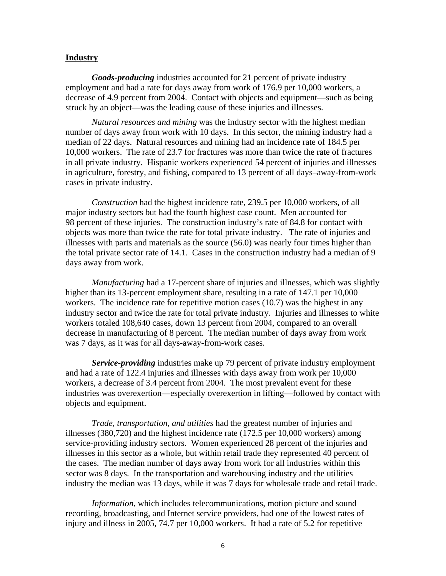### **Industry**

*Goods-producing* industries accounted for 21 percent of private industry employment and had a rate for days away from work of 176.9 per 10,000 workers, a decrease of 4.9 percent from 2004. Contact with objects and equipment—such as being struck by an object—was the leading cause of these injuries and illnesses.

*Natural resources and mining* was the industry sector with the highest median number of days away from work with 10 days. In this sector, the mining industry had a median of 22 days. Natural resources and mining had an incidence rate of 184.5 per 10,000 workers. The rate of 23.7 for fractures was more than twice the rate of fractures in all private industry. Hispanic workers experienced 54 percent of injuries and illnesses in agriculture, forestry, and fishing, compared to 13 percent of all days–away-from-work cases in private industry.

*Construction* had the highest incidence rate, 239.5 per 10,000 workers, of all major industry sectors but had the fourth highest case count. Men accounted for 98 percent of these injuries. The construction industry's rate of 84.8 for contact with objects was more than twice the rate for total private industry. The rate of injuries and illnesses with parts and materials as the source (56.0) was nearly four times higher than the total private sector rate of 14.1. Cases in the construction industry had a median of 9 days away from work.

*Manufacturing* had a 17-percent share of injuries and illnesses, which was slightly higher than its 13-percent employment share, resulting in a rate of 147.1 per 10,000 workers. The incidence rate for repetitive motion cases (10.7) was the highest in any industry sector and twice the rate for total private industry. Injuries and illnesses to white workers totaled 108,640 cases, down 13 percent from 2004, compared to an overall decrease in manufacturing of 8 percent. The median number of days away from work was 7 days, as it was for all days-away-from-work cases.

*Service-providing* industries make up 79 percent of private industry employment and had a rate of 122.4 injuries and illnesses with days away from work per 10,000 workers, a decrease of 3.4 percent from 2004. The most prevalent event for these industries was overexertion—especially overexertion in lifting—followed by contact with objects and equipment.

*Trade, transportation, and utilities* had the greatest number of injuries and illnesses (380,720) and the highest incidence rate (172.5 per 10,000 workers) among service-providing industry sectors. Women experienced 28 percent of the injuries and illnesses in this sector as a whole, but within retail trade they represented 40 percent of the cases. The median number of days away from work for all industries within this sector was 8 days. In the transportation and warehousing industry and the utilities industry the median was 13 days, while it was 7 days for wholesale trade and retail trade.

*Information*, which includes telecommunications, motion picture and sound recording, broadcasting, and Internet service providers, had one of the lowest rates of injury and illness in 2005, 74.7 per 10,000 workers. It had a rate of 5.2 for repetitive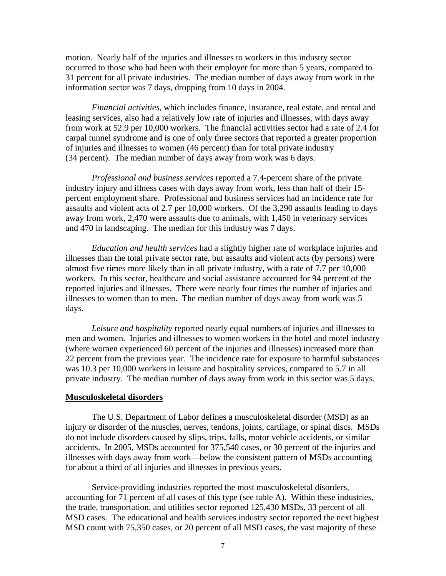motion. Nearly half of the injuries and illnesses to workers in this industry sector occurred to those who had been with their employer for more than 5 years, compared to 31 percent for all private industries. The median number of days away from work in the information sector was 7 days, dropping from 10 days in 2004.

*Financial activities*, which includes finance, insurance, real estate, and rental and leasing services, also had a relatively low rate of injuries and illnesses, with days away from work at 52.9 per 10,000 workers. The financial activities sector had a rate of 2.4 for carpal tunnel syndrome and is one of only three sectors that reported a greater proportion of injuries and illnesses to women (46 percent) than for total private industry (34 percent). The median number of days away from work was 6 days.

*Professional and business services* reported a 7.4-percent share of the private industry injury and illness cases with days away from work, less than half of their 15 percent employment share. Professional and business services had an incidence rate for assaults and violent acts of 2.7 per 10,000 workers. Of the 3,290 assaults leading to days away from work, 2,470 were assaults due to animals, with 1,450 in veterinary services and 470 in landscaping. The median for this industry was 7 days.

*Education and health services* had a slightly higher rate of workplace injuries and illnesses than the total private sector rate, but assaults and violent acts (by persons) were almost five times more likely than in all private industry, with a rate of 7.7 per 10,000 workers. In this sector, healthcare and social assistance accounted for 94 percent of the reported injuries and illnesses. There were nearly four times the number of injuries and illnesses to women than to men. The median number of days away from work was 5 days.

*Leisure and hospitality* reported nearly equal numbers of injuries and illnesses to men and women. Injuries and illnesses to women workers in the hotel and motel industry (where women experienced 60 percent of the injuries and illnesses) increased more than 22 percent from the previous year. The incidence rate for exposure to harmful substances was 10.3 per 10,000 workers in leisure and hospitality services, compared to 5.7 in all private industry. The median number of days away from work in this sector was 5 days.

### **Musculoskeletal disorders**

 The U.S. Department of Labor defines a musculoskeletal disorder (MSD) as an injury or disorder of the muscles, nerves, tendons, joints, cartilage, or spinal discs. MSDs do not include disorders caused by slips, trips, falls, motor vehicle accidents, or similar accidents. In 2005, MSDs accounted for 375,540 cases, or 30 percent of the injuries and illnesses with days away from work—below the consistent pattern of MSDs accounting for about a third of all injuries and illnesses in previous years.

 Service-providing industries reported the most musculoskeletal disorders, accounting for 71 percent of all cases of this type (see table A). Within these industries, the trade, transportation, and utilities sector reported 125,430 MSDs, 33 percent of all MSD cases. The educational and health services industry sector reported the next highest MSD count with 75,350 cases, or 20 percent of all MSD cases, the vast majority of these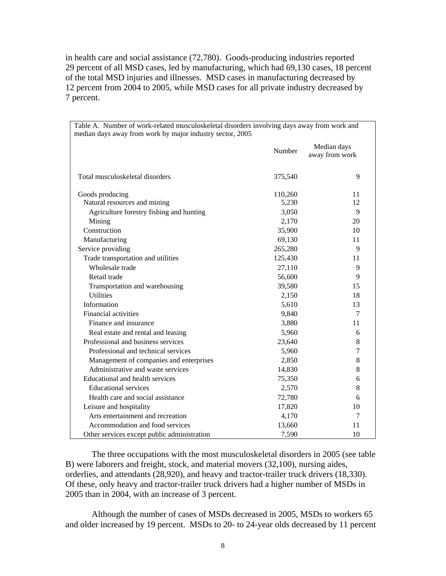in health care and social assistance (72,780). Goods-producing industries reported 29 percent of all MSD cases, led by manufacturing, which had 69,130 cases, 18 percent of the total MSD injuries and illnesses. MSD cases in manufacturing decreased by 12 percent from 2004 to 2005, while MSD cases for all private industry decreased by 7 percent.

| Table A. Number of work-related musculoskeletal disorders involving days away from work and |         |                               |  |  |  |  |  |  |  |  |  |
|---------------------------------------------------------------------------------------------|---------|-------------------------------|--|--|--|--|--|--|--|--|--|
| median days away from work by major industry sector, 2005                                   |         |                               |  |  |  |  |  |  |  |  |  |
|                                                                                             | Number  | Median days<br>away from work |  |  |  |  |  |  |  |  |  |
| Total musculoskeletal disorders                                                             | 375,540 | 9                             |  |  |  |  |  |  |  |  |  |
| Goods producing                                                                             | 110,260 | 11                            |  |  |  |  |  |  |  |  |  |
| Natural resources and mining                                                                | 5,230   | 12                            |  |  |  |  |  |  |  |  |  |
| Agriculture forestry fishing and hunting                                                    | 3,050   | 9                             |  |  |  |  |  |  |  |  |  |
| Mining                                                                                      | 2,170   | 20                            |  |  |  |  |  |  |  |  |  |
| Construction                                                                                | 35,900  | 10                            |  |  |  |  |  |  |  |  |  |
| Manufacturing                                                                               | 69,130  | 11                            |  |  |  |  |  |  |  |  |  |
| Service providing                                                                           | 265,280 | 9                             |  |  |  |  |  |  |  |  |  |
| Trade transportation and utilities                                                          | 125,430 | 11                            |  |  |  |  |  |  |  |  |  |
| Wholesale trade                                                                             | 27,110  | 9                             |  |  |  |  |  |  |  |  |  |
| Retail trade                                                                                | 56,600  | 9                             |  |  |  |  |  |  |  |  |  |
| Transportation and warehousing                                                              | 39,580  | 15                            |  |  |  |  |  |  |  |  |  |
| <b>Utilities</b>                                                                            | 2,150   | 18                            |  |  |  |  |  |  |  |  |  |
| Information                                                                                 | 5,610   | 13                            |  |  |  |  |  |  |  |  |  |
| Financial activities                                                                        | 9,840   | 7                             |  |  |  |  |  |  |  |  |  |
| Finance and insurance                                                                       | 3,880   | 11                            |  |  |  |  |  |  |  |  |  |
| Real estate and rental and leasing                                                          | 5,960   | 6                             |  |  |  |  |  |  |  |  |  |
| Professional and business services                                                          | 23,640  | $8\,$                         |  |  |  |  |  |  |  |  |  |
| Professional and technical services                                                         | 5,960   | 7                             |  |  |  |  |  |  |  |  |  |
| Management of companies and enterprises                                                     | 2,850   | 8                             |  |  |  |  |  |  |  |  |  |
| Administrative and waste services                                                           | 14,830  | 8                             |  |  |  |  |  |  |  |  |  |
| Educational and health services                                                             | 75,350  | 6                             |  |  |  |  |  |  |  |  |  |
| <b>Educational services</b>                                                                 | 2,570   | 8                             |  |  |  |  |  |  |  |  |  |
| Health care and social assistance                                                           | 72,780  | 6                             |  |  |  |  |  |  |  |  |  |
| Leisure and hospitality                                                                     | 17,820  | 10                            |  |  |  |  |  |  |  |  |  |
| Arts entertainment and recreation                                                           | 4,170   | 7                             |  |  |  |  |  |  |  |  |  |
| Accommodation and food services                                                             | 13,660  | 11                            |  |  |  |  |  |  |  |  |  |
| Other services except public administration                                                 | 7,590   | 10                            |  |  |  |  |  |  |  |  |  |

The three occupations with the most musculoskeletal disorders in 2005 (see table B) were laborers and freight, stock, and material movers (32,100), nursing aides, orderlies, and attendants (28,920), and heavy and tractor-trailer truck drivers (18,330). Of these, only heavy and tractor-trailer truck drivers had a higher number of MSDs in 2005 than in 2004, with an increase of 3 percent.

Although the number of cases of MSDs decreased in 2005, MSDs to workers 65 and older increased by 19 percent. MSDs to 20- to 24-year olds decreased by 11 percent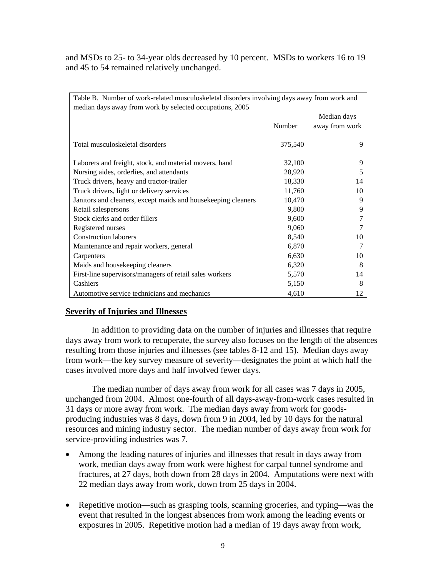and MSDs to 25- to 34-year olds decreased by 10 percent. MSDs to workers 16 to 19 and 45 to 54 remained relatively unchanged.

| Table B. Number of work-related musculoskeletal disorders involving days away from work and |         |                |  |  |  |  |  |  |  |  |  |
|---------------------------------------------------------------------------------------------|---------|----------------|--|--|--|--|--|--|--|--|--|
| median days away from work by selected occupations, 2005                                    |         |                |  |  |  |  |  |  |  |  |  |
|                                                                                             |         | Median days    |  |  |  |  |  |  |  |  |  |
|                                                                                             | Number  | away from work |  |  |  |  |  |  |  |  |  |
| Total musculoskeletal disorders                                                             | 375,540 | 9              |  |  |  |  |  |  |  |  |  |
| Laborers and freight, stock, and material movers, hand                                      | 32,100  | 9              |  |  |  |  |  |  |  |  |  |
| Nursing aides, orderlies, and attendants                                                    | 28,920  | 5              |  |  |  |  |  |  |  |  |  |
| Truck drivers, heavy and tractor-trailer                                                    | 18,330  | 14             |  |  |  |  |  |  |  |  |  |
| Truck drivers, light or delivery services                                                   | 11,760  | 10             |  |  |  |  |  |  |  |  |  |
| Janitors and cleaners, except maids and housekeeping cleaners                               | 10,470  | 9              |  |  |  |  |  |  |  |  |  |
| Retail salespersons                                                                         | 9,800   | 9              |  |  |  |  |  |  |  |  |  |
| Stock clerks and order fillers                                                              | 9,600   |                |  |  |  |  |  |  |  |  |  |
| Registered nurses                                                                           | 9,060   |                |  |  |  |  |  |  |  |  |  |
| <b>Construction laborers</b>                                                                | 8,540   | 10             |  |  |  |  |  |  |  |  |  |
| Maintenance and repair workers, general                                                     | 6,870   | 7              |  |  |  |  |  |  |  |  |  |
| Carpenters                                                                                  | 6,630   | 10             |  |  |  |  |  |  |  |  |  |
| Maids and housekeeping cleaners                                                             | 6,320   | 8              |  |  |  |  |  |  |  |  |  |
| First-line supervisors/managers of retail sales workers                                     | 5,570   | 14             |  |  |  |  |  |  |  |  |  |
| Cashiers                                                                                    | 5,150   | 8              |  |  |  |  |  |  |  |  |  |
| Automotive service technicians and mechanics                                                | 4,610   | 12             |  |  |  |  |  |  |  |  |  |

## **Severity of Injuries and Illnesses**

 In addition to providing data on the number of injuries and illnesses that require days away from work to recuperate, the survey also focuses on the length of the absences resulting from those injuries and illnesses (see tables 8-12 and 15). Median days away from work—the key survey measure of severity—designates the point at which half the cases involved more days and half involved fewer days.

 The median number of days away from work for all cases was 7 days in 2005, unchanged from 2004. Almost one-fourth of all days-away-from-work cases resulted in 31 days or more away from work. The median days away from work for goodsproducing industries was 8 days, down from 9 in 2004, led by 10 days for the natural resources and mining industry sector. The median number of days away from work for service-providing industries was 7.

- Among the leading natures of injuries and illnesses that result in days away from work, median days away from work were highest for carpal tunnel syndrome and fractures, at 27 days, both down from 28 days in 2004. Amputations were next with 22 median days away from work, down from 25 days in 2004.
- Repetitive motion—such as grasping tools, scanning groceries, and typing—was the event that resulted in the longest absences from work among the leading events or exposures in 2005. Repetitive motion had a median of 19 days away from work,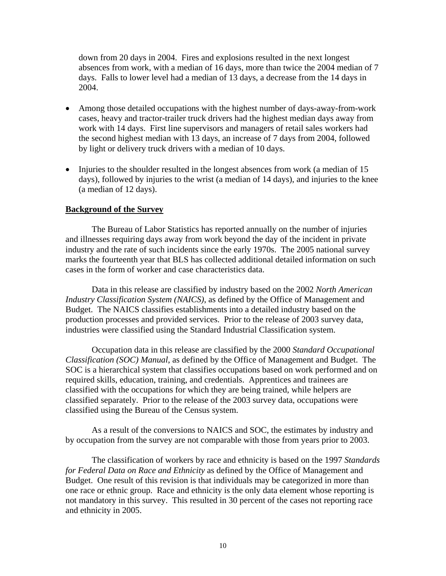down from 20 days in 2004. Fires and explosions resulted in the next longest absences from work, with a median of 16 days, more than twice the 2004 median of 7 days. Falls to lower level had a median of 13 days, a decrease from the 14 days in 2004.

- Among those detailed occupations with the highest number of days-away-from-work cases, heavy and tractor-trailer truck drivers had the highest median days away from work with 14 days. First line supervisors and managers of retail sales workers had the second highest median with 13 days, an increase of 7 days from 2004, followed by light or delivery truck drivers with a median of 10 days.
- Injuries to the shoulder resulted in the longest absences from work (a median of 15 days), followed by injuries to the wrist (a median of 14 days), and injuries to the knee (a median of 12 days).

### **Background of the Survey**

The Bureau of Labor Statistics has reported annually on the number of injuries and illnesses requiring days away from work beyond the day of the incident in private industry and the rate of such incidents since the early 1970s. The 2005 national survey marks the fourteenth year that BLS has collected additional detailed information on such cases in the form of worker and case characteristics data.

Data in this release are classified by industry based on the 2002 *North American Industry Classification System (NAICS)*, as defined by the Office of Management and Budget. The NAICS classifies establishments into a detailed industry based on the production processes and provided services. Prior to the release of 2003 survey data, industries were classified using the Standard Industrial Classification system.

Occupation data in this release are classified by the 2000 *Standard Occupational Classification (SOC) Manual*, as defined by the Office of Management and Budget. The SOC is a hierarchical system that classifies occupations based on work performed and on required skills, education, training, and credentials. Apprentices and trainees are classified with the occupations for which they are being trained, while helpers are classified separately. Prior to the release of the 2003 survey data, occupations were classified using the Bureau of the Census system.

As a result of the conversions to NAICS and SOC, the estimates by industry and by occupation from the survey are not comparable with those from years prior to 2003.

The classification of workers by race and ethnicity is based on the 1997 *Standards for Federal Data on Race and Ethnicity* as defined by the Office of Management and Budget. One result of this revision is that individuals may be categorized in more than one race or ethnic group. Race and ethnicity is the only data element whose reporting is not mandatory in this survey. This resulted in 30 percent of the cases not reporting race and ethnicity in 2005.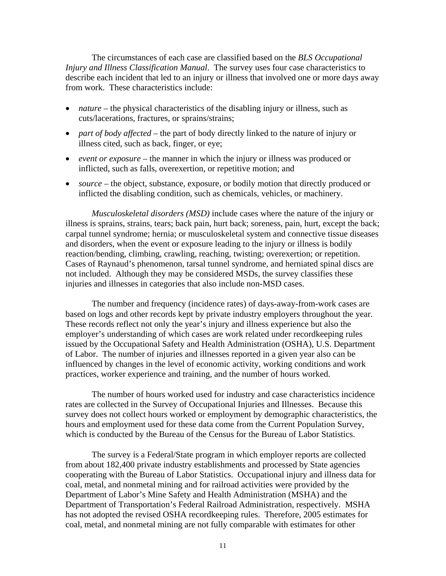The circumstances of each case are classified based on the *BLS Occupational Injury and Illness Classification Manual*. The survey uses four case characteristics to describe each incident that led to an injury or illness that involved one or more days away from work. These characteristics include:

- *nature* the physical characteristics of the disabling injury or illness, such as cuts/lacerations, fractures, or sprains/strains;
- *part of body affected* the part of body directly linked to the nature of injury or illness cited, such as back, finger, or eye;
- *event or exposure* the manner in which the injury or illness was produced or inflicted, such as falls, overexertion, or repetitive motion; and
- *source* the object, substance, exposure, or bodily motion that directly produced or inflicted the disabling condition, such as chemicals, vehicles, or machinery.

*Musculoskeletal disorders (MSD)* include cases where the nature of the injury or illness is sprains, strains, tears; back pain, hurt back; soreness, pain, hurt, except the back; carpal tunnel syndrome; hernia; or musculoskeletal system and connective tissue diseases and disorders, when the event or exposure leading to the injury or illness is bodily reaction/bending, climbing, crawling, reaching, twisting; overexertion; or repetition. Cases of Raynaud's phenomenon, tarsal tunnel syndrome, and herniated spinal discs are not included. Although they may be considered MSDs, the survey classifies these injuries and illnesses in categories that also include non-MSD cases.

The number and frequency (incidence rates) of days-away-from-work cases are based on logs and other records kept by private industry employers throughout the year. These records reflect not only the year's injury and illness experience but also the employer's understanding of which cases are work related under recordkeeping rules issued by the Occupational Safety and Health Administration (OSHA), U.S. Department of Labor. The number of injuries and illnesses reported in a given year also can be influenced by changes in the level of economic activity, working conditions and work practices, worker experience and training, and the number of hours worked.

The number of hours worked used for industry and case characteristics incidence rates are collected in the Survey of Occupational Injuries and Illnesses. Because this survey does not collect hours worked or employment by demographic characteristics, the hours and employment used for these data come from the Current Population Survey, which is conducted by the Bureau of the Census for the Bureau of Labor Statistics.

The survey is a Federal/State program in which employer reports are collected from about 182,400 private industry establishments and processed by State agencies cooperating with the Bureau of Labor Statistics. Occupational injury and illness data for coal, metal, and nonmetal mining and for railroad activities were provided by the Department of Labor's Mine Safety and Health Administration (MSHA) and the Department of Transportation's Federal Railroad Administration, respectively. MSHA has not adopted the revised OSHA recordkeeping rules. Therefore, 2005 estimates for coal, metal, and nonmetal mining are not fully comparable with estimates for other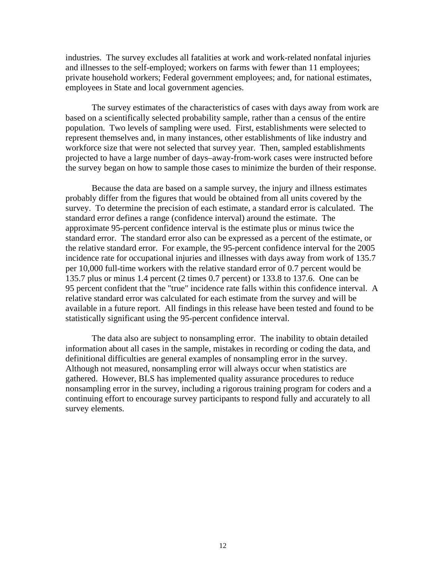industries. The survey excludes all fatalities at work and work-related nonfatal injuries and illnesses to the self-employed; workers on farms with fewer than 11 employees; private household workers; Federal government employees; and, for national estimates, employees in State and local government agencies.

The survey estimates of the characteristics of cases with days away from work are based on a scientifically selected probability sample, rather than a census of the entire population. Two levels of sampling were used. First, establishments were selected to represent themselves and, in many instances, other establishments of like industry and workforce size that were not selected that survey year. Then, sampled establishments projected to have a large number of days–away-from-work cases were instructed before the survey began on how to sample those cases to minimize the burden of their response.

Because the data are based on a sample survey, the injury and illness estimates probably differ from the figures that would be obtained from all units covered by the survey. To determine the precision of each estimate, a standard error is calculated. The standard error defines a range (confidence interval) around the estimate. The approximate 95-percent confidence interval is the estimate plus or minus twice the standard error. The standard error also can be expressed as a percent of the estimate, or the relative standard error. For example, the 95-percent confidence interval for the 2005 incidence rate for occupational injuries and illnesses with days away from work of 135.7 per 10,000 full-time workers with the relative standard error of 0.7 percent would be 135.7 plus or minus 1.4 percent (2 times 0.7 percent) or 133.8 to 137.6. One can be 95 percent confident that the "true" incidence rate falls within this confidence interval. A relative standard error was calculated for each estimate from the survey and will be available in a future report. All findings in this release have been tested and found to be statistically significant using the 95-percent confidence interval.

The data also are subject to nonsampling error. The inability to obtain detailed information about all cases in the sample, mistakes in recording or coding the data, and definitional difficulties are general examples of nonsampling error in the survey. Although not measured, nonsampling error will always occur when statistics are gathered. However, BLS has implemented quality assurance procedures to reduce nonsampling error in the survey, including a rigorous training program for coders and a continuing effort to encourage survey participants to respond fully and accurately to all survey elements.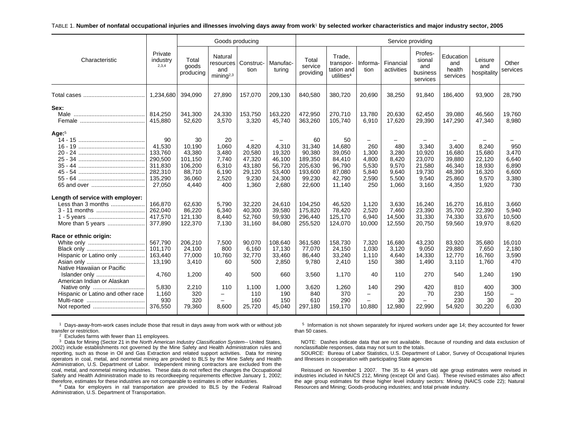#### TABLE 1. **Number of nonfatal occupational injuries and illnesses involving days away from work**1 **by selected worker characteristics and major industry sector, 2005**

|                                                                                                 |                                                                               |                                                                           | Goods producing                                                 |                                                                 |                                                                  |                                                                             |                                                                          |                                                              | Service providing                                         |                                                                 |                                                                  |                                                                 |                                                         |
|-------------------------------------------------------------------------------------------------|-------------------------------------------------------------------------------|---------------------------------------------------------------------------|-----------------------------------------------------------------|-----------------------------------------------------------------|------------------------------------------------------------------|-----------------------------------------------------------------------------|--------------------------------------------------------------------------|--------------------------------------------------------------|-----------------------------------------------------------|-----------------------------------------------------------------|------------------------------------------------------------------|-----------------------------------------------------------------|---------------------------------------------------------|
| Characteristic                                                                                  | Private<br>industry<br>2,3,4                                                  | Total<br>goods<br>producing                                               | Natural<br>resources<br>and<br>mining <sup>2,3</sup>            | Construc-<br>tion                                               | Manufac-<br>turing                                               | Total<br>service<br>providing                                               | Trade.<br>transpor-<br>tation and<br>utilities <sup>4</sup>              | Informa-<br>tion                                             | Financial<br>activities                                   | Profes-<br>sional<br>and<br>business<br>services                | Education<br>and<br>health<br>services                           | Leisure<br>and<br>hospitality                                   | Other<br>services                                       |
|                                                                                                 | 1,234,680                                                                     | 394,090                                                                   | 27,890                                                          | 157,070                                                         | 209,130                                                          | 840,580                                                                     | 380,720                                                                  | 20,690                                                       | 38,250                                                    | 91,840                                                          | 186,400                                                          | 93,900                                                          | 28,790                                                  |
| Sex:                                                                                            | 814,250<br>415,880                                                            | 341,300<br>52,620                                                         | 24,330<br>3,570                                                 | 153,750<br>3,320                                                | 163,220<br>45,740                                                | 472,950<br>363,260                                                          | 270.710<br>105,740                                                       | 13,780<br>6,910                                              | 20,630<br>17,620                                          | 62,450<br>29,390                                                | 39,080<br>147,290                                                | 46,560<br>47,340                                                | 19,760<br>8,980                                         |
| Age: $5$<br>65 and over                                                                         | 90<br>41.530<br>133,760<br>290,500<br>311,830<br>282,310<br>135,290<br>27,050 | 30<br>10.190<br>43,380<br>101,150<br>106,200<br>88,710<br>36,060<br>4,440 | 20<br>1.060<br>3,480<br>7.740<br>6,310<br>6,190<br>2,520<br>400 | 4.820<br>20,580<br>47,320<br>43,180<br>29,120<br>9,230<br>1,360 | 4.310<br>19,320<br>46,100<br>56,720<br>53,400<br>24,300<br>2,680 | 60<br>31.340<br>90,380<br>189,350<br>205,630<br>193,600<br>99.230<br>22,600 | 50<br>14.680<br>39,050<br>84,410<br>96,790<br>87,080<br>42.790<br>11,140 | -<br>260<br>1,300<br>4,800<br>5,530<br>5,840<br>2,590<br>250 | 480<br>3,280<br>8,420<br>9,570<br>9,640<br>5.500<br>1,060 | 3.340<br>10,920<br>23,070<br>21,580<br>19,730<br>9,540<br>3,160 | 3.400<br>16.680<br>39,880<br>46,340<br>48,390<br>25,860<br>4,350 | 8.240<br>15,680<br>22,120<br>18,930<br>16,320<br>9,570<br>1,920 | 950<br>3,470<br>6,640<br>6,890<br>6,600<br>3,380<br>730 |
| Length of service with employer:<br>Less than 3 months<br>3 - 11 months<br>More than 5 years    | 166,870<br>262,040<br>417,570<br>377,890                                      | 62.630<br>86,220<br>121,130<br>122,370                                    | 5.790<br>6,340<br>8,440<br>7.130                                | 32,220<br>40,300<br>52,760<br>31.160                            | 24.610<br>39,580<br>59,930<br>84,080                             | 104.250<br>175,820<br>296,440<br>255,520                                    | 46.520<br>78,420<br>125,170<br>124,070                                   | 1.120<br>2,520<br>6,940<br>10,000                            | 3.630<br>7,460<br>14,500<br>12,550                        | 16.240<br>23,390<br>31,330<br>20.750                            | 16,270<br>35,700<br>74,330<br>59,560                             | 16.810<br>22,390<br>33,670<br>19,970                            | 3.660<br>5,940<br>10,500<br>8,620                       |
| Race or ethnic origin:<br>Hispanic or Latino only<br>Native Hawaiian or Pacific                 | 567,790<br>101,170<br>163,440<br>13,190                                       | 206,210<br>24,100<br>77,000<br>3,410                                      | 7,500<br>800<br>10,760<br>60                                    | 90,070<br>6,160<br>32,770<br>500                                | 108,640<br>17,130<br>33,460<br>2.850                             | 361,580<br>77,070<br>86,440<br>9.780                                        | 158,730<br>24,150<br>33,240<br>2.410                                     | 7,320<br>1,030<br>1,110<br>150                               | 16,680<br>3.120<br>4,640<br>380                           | 43,230<br>9,050<br>14,330<br>1.490                              | 83,920<br>29,880<br>12,770<br>3.110                              | 35,680<br>7,650<br>16,760<br>1.760                              | 16,010<br>2,180<br>3,590<br>470                         |
| Islander only<br>American Indian or Alaskan<br>Native only<br>Hispanic or Latino and other race | 4.760<br>5,830<br>1,160<br>930<br>376,550                                     | 1,200<br>2,210<br>320<br>320<br>79,360                                    | 40<br>110<br>$\overline{\phantom{0}}$<br>8,600                  | 500<br>1,100<br>110<br>160<br>25,720                            | 660<br>1,000<br>190<br>150<br>45,040                             | 3,560<br>3,620<br>840<br>610<br>297,180                                     | 1,170<br>1,260<br>370<br>290<br>159,170                                  | 40<br>140<br>$\overline{\phantom{0}}$<br>10,880              | 110<br>290<br>20<br>30<br>12,980                          | 270<br>420<br>70<br>22,990                                      | 540<br>810<br>230<br>230<br>54,920                               | 1.240<br>400<br>150<br>30<br>30,220                             | 190<br>300<br>$\overline{\phantom{0}}$<br>20<br>6,030   |

 $1$  Days-away-from-work cases include those that result in days away from work with or without job transfer or restriction.

 $2$  Excludes farms with fewer than 11 employees.

3 Data for Mining (Sector 21 in the *North American Industry Classification System--* United States, 2002) include establishments not governed by the Mine Safety and Health Administration rules and reporting, such as those in Oil and Gas Extraction and related support activities. Data for mining operators in coal, metal, and nonmetal mining are provided to BLS by the Mine Safety and Health Administration, U.S. Department of Labor. Independent mining contractors are excluded from the coal, metal, and nonmetal mining industries. These data do not reflect the changes the Occupational Safety and Health Administration made to its recordkeeping requirements effective January 1, 2002; therefore, estimates for these industries are not comparable to estimates in other industries.

 $4$  Data for employers in rail transportation are provided to BLS by the Federal Railroad Administration, U.S. Department of Transportation.

<sup>5</sup> Information is not shown separately for injured workers under age 14; they accounted for fewer than 50 cases.

NOTE: Dashes indicate data that are not available. Because of rounding and data exclusion of nonclassifiable responses, data may not sum to the totals.

SOURCE: Bureau of Labor Statistics, U.S. Department of Labor, Survey of Occupational Injuries and Illnesses in cooperation with participating State agencies

Reissued on November 1 2007. The 35 to 44 years old age group estimates were revised in industries included in NAICS 212, Mining (except Oil and Gas). These revised estimates also affect the age group estimates for these higher level industry sectors: Mining (NAICS code 22); Natural Resources and Mining; Goods-producing industries; and total private industry.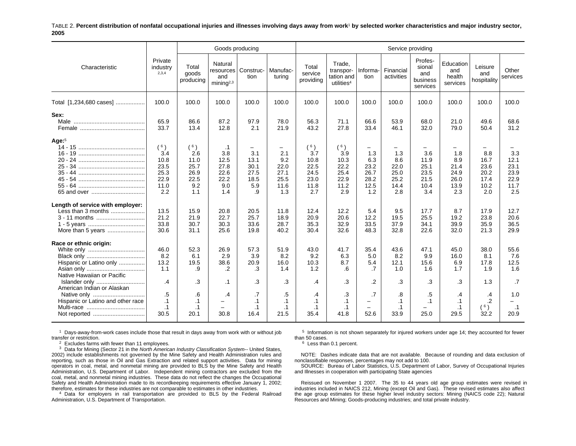#### TABLE 2. **Percent distribution of nonfatal occupational injuries and illnesses involving days away from work**1 **by selected worker characteristics and major industry sector, 2005**

|                                                                                                 |                                                           |                                                          | Goods producing                                         |                                                       |                                                                        |                                                           |                                                             |                                                        |                                                   | Service providing                                  |                                                   |                                                    |                                                    |
|-------------------------------------------------------------------------------------------------|-----------------------------------------------------------|----------------------------------------------------------|---------------------------------------------------------|-------------------------------------------------------|------------------------------------------------------------------------|-----------------------------------------------------------|-------------------------------------------------------------|--------------------------------------------------------|---------------------------------------------------|----------------------------------------------------|---------------------------------------------------|----------------------------------------------------|----------------------------------------------------|
| Characteristic                                                                                  | Private<br>industry<br>2,3,4                              | Total<br>goods<br>producing                              | Natural<br>resources<br>and<br>minin a <sup>2,3</sup>   | Construc-<br>tion                                     | l Manufac-<br>turina                                                   | Total<br>service<br>providing                             | Trade,<br>transpor-<br>tation and<br>utilities <sup>4</sup> | Informa-<br>tion                                       | Financial<br>activities                           | Profes-<br>sional<br>and<br>business<br>services   | Education<br>and<br>health<br>services            | Leisure<br>and<br>hospitality                      | Other<br>services                                  |
| Total [1,234,680 cases]                                                                         | 100.0                                                     | 100.0                                                    | 100.0                                                   | 100.0                                                 | 100.0                                                                  | 100.0                                                     | 100.0                                                       | 100.0                                                  | 100.0                                             | 100.0                                              | 100.0                                             | 100.0                                              | 100.0                                              |
| Sex:                                                                                            | 65.9<br>33.7                                              | 86.6<br>13.4                                             | 87.2<br>12.8                                            | 97.9<br>2.1                                           | 78.0<br>21.9                                                           | 56.3<br>43.2                                              | 71.1<br>27.8                                                | 66.6<br>33.4                                           | 53.9<br>46.1                                      | 68.0<br>32.0                                       | 21.0<br>79.0                                      | 49.6<br>50.4                                       | 68.6<br>31.2                                       |
| Age: $5$                                                                                        | (6)<br>3.4<br>10.8<br>23.5<br>25.3<br>22.9<br>11.0<br>2.2 | (6)<br>2.6<br>11.0<br>25.7<br>26.9<br>22.5<br>9.2<br>1.1 | .1<br>3.8<br>12.5<br>27.8<br>22.6<br>22.2<br>9.0<br>1.4 | -<br>3.1<br>13.1<br>30.1<br>27.5<br>18.5<br>5.9<br>.9 | $\qquad \qquad -$<br>2.1<br>9.2<br>22.0<br>27.1<br>25.5<br>11.6<br>1.3 | (6)<br>3.7<br>10.8<br>22.5<br>24.5<br>23.0<br>11.8<br>2.7 | (6)<br>3.9<br>10.3<br>22.2<br>25.4<br>22.9<br>11.2<br>2.9   | -<br>1.3<br>6.3<br>23.2<br>26.7<br>28.2<br>12.5<br>1.2 | 1.3<br>8.6<br>22.0<br>25.0<br>25.2<br>14.4<br>2.8 | 3.6<br>11.9<br>25.1<br>23.5<br>21.5<br>10.4<br>3.4 | 1.8<br>8.9<br>21.4<br>24.9<br>26.0<br>13.9<br>2.3 | 8.8<br>16.7<br>23.6<br>20.2<br>17.4<br>10.2<br>2.0 | 3.3<br>12.1<br>23.1<br>23.9<br>22.9<br>11.7<br>2.5 |
| Length of service with employer:<br>Less than 3 months<br>3 - 11 months<br>More than 5 years    | 13.5<br>21.2<br>33.8<br>30.6                              | 15.9<br>21.9<br>30.7<br>31.1                             | 20.8<br>22.7<br>30.3<br>25.6                            | 20.5<br>25.7<br>33.6<br>19.8                          | 11.8<br>18.9<br>28.7<br>40.2                                           | 12.4<br>20.9<br>35.3<br>30.4                              | 12.2<br>20.6<br>32.9<br>32.6                                | 5.4<br>12.2<br>33.5<br>48.3                            | 9.5<br>19.5<br>37.9<br>32.8                       | 17.7<br>25.5<br>34.1<br>22.6                       | 8.7<br>19.2<br>39.9<br>32.0                       | 17.9<br>23.8<br>35.9<br>21.3                       | 12.7<br>20.6<br>36.5<br>29.9                       |
| Race or ethnic origin:<br>Hispanic or Latino only<br>Native Hawaiian or Pacific                 | 46.0<br>8.2<br>13.2<br>1.1                                | 52.3<br>6.1<br>19.5<br>.9                                | 26.9<br>2.9<br>38.6<br>.2                               | 57.3<br>3.9<br>20.9<br>.3                             | 51.9<br>8.2<br>16.0<br>1.4                                             | 43.0<br>9.2<br>10.3<br>1.2                                | 41.7<br>6.3<br>8.7<br>.6                                    | 35.4<br>5.0<br>5.4<br>$\overline{.7}$                  | 43.6<br>8.2<br>12.1<br>1.0                        | 47.1<br>9.9<br>15.6<br>1.6                         | 45.0<br>16.0<br>6.9<br>1.7                        | 38.0<br>8.1<br>17.8<br>1.9                         | 55.6<br>7.6<br>12.5<br>1.6                         |
| Islander only<br>American Indian or Alaskan<br>Native only<br>Hispanic or Latino and other race | .4<br>.5<br>.1<br>$\cdot$ 1<br>30.5                       | .3<br>.6<br>$\cdot$ 1<br>$\cdot$ 1<br>20.1               | .1<br>$\cdot$ 4<br>$\overline{\phantom{0}}$<br>30.8     | .3<br>.7<br>$\cdot$ 1<br>$\cdot$ 1<br>16.4            | .3<br>.5<br>$\cdot$ 1<br>$\cdot$ 1<br>21.5                             | .4<br>.4<br>$\cdot$ 1<br>$\cdot$ 1<br>35.4                | $\cdot$ 3<br>.3<br>$\cdot$ 1<br>$\cdot$ 1<br>41.8           | $\overline{2}$<br>.7<br>-<br>-<br>52.6                 | .3<br>.8<br>$\cdot$ 1<br>$\cdot$ 1<br>33.9        | .3<br>.5<br>$\cdot$ 1<br>25.0                      | .3<br>.4<br>$\cdot$ 1<br>$\cdot$ 1<br>29.5        | 1.3<br>.4<br>$\overline{2}$<br>(6)<br>32.2         | .7<br>1.0<br>$\cdot$ 1<br>20.9                     |

 $1$  Days-away-from-work cases include those that result in days away from work with or without job transfer or restriction.

 $2$  Excludes farms with fewer than 11 employees.

3 Data for Mining (Sector 21 in the *North American Industry Classification System--* United States, 2002) include establishments not governed by the Mine Safety and Health Administration rules and reporting, such as those in Oil and Gas Extraction and related support activities. Data for mining operators in coal, metal, and nonmetal mining are provided to BLS by the Mine Safety and Health Administration, U.S. Department of Labor. Independent mining contractors are excluded from the coal, metal, and nonmetal mining industries. These data do not reflect the changes the Occupational Safety and Health Administration made to its recordkeeping requirements effective January 1, 2002; therefore, estimates for these industries are not comparable to estimates in other industries.

<sup>4</sup> Data for employers in rail transportation are provided to BLS by the Federal Railroad Administration, U.S. Department of Transportation.

 $5$  Information is not shown separately for injured workers under age 14; they accounted for fewer than 50 cases.

<sup>6</sup> Less than 0.1 percent.

NOTE: Dashes indicate data that are not available. Because of rounding and data exclusion of nonclassifiable responses, percentages may not add to 100.

SOURCE: Bureau of Labor Statistics, U.S. Department of Labor, Survey of Occupational Injuries and Illnesses in cooperation with participating State agencies

Reissued on November 1 2007. The 35 to 44 years old age group estimates were revised in industries included in NAICS 212, Mining (except Oil and Gas). These revised estimates also affect the age group estimates for these higher level industry sectors: Mining (NAICS code 22); Natural Resources and Mining; Goods-producing industries; and total private industry.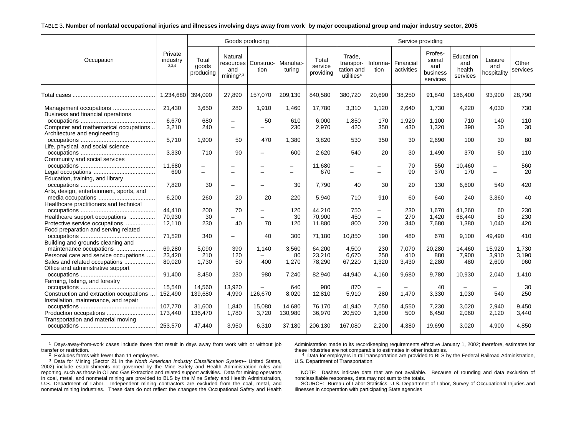#### TABLE 3. **Number of nonfatal occupational injuries and illnesses involving days away from work**1 **by major occupational group and major industry sector, 2005**

|                                                                                                             |                              |                                                      | Goods producing                                       |                                                      |                               |                               |                                                             |                                      | Service providing       |                                                  |                                        |                               |                   |
|-------------------------------------------------------------------------------------------------------------|------------------------------|------------------------------------------------------|-------------------------------------------------------|------------------------------------------------------|-------------------------------|-------------------------------|-------------------------------------------------------------|--------------------------------------|-------------------------|--------------------------------------------------|----------------------------------------|-------------------------------|-------------------|
| Occupation                                                                                                  | Private<br>industry<br>2,3,4 | Total<br>goods<br>producing                          | Natural<br>resources<br>and<br>minin a <sup>2,3</sup> | Construc-<br>tion                                    | Manufac-<br>turing            | Total<br>service<br>providing | Trade.<br>transpor-<br>tation and<br>utilities <sup>4</sup> | Informa-<br>tion                     | Financial<br>activities | Profes-<br>sional<br>and<br>business<br>services | Education<br>and<br>health<br>services | Leisure<br>and<br>hospitality | Other<br>services |
|                                                                                                             | 1,234,680                    | 394,090                                              | 27,890                                                | 157,070                                              | 209,130                       | 840,580                       | 380,720                                                     | 20,690                               | 38,250                  | 91,840                                           | 186.400                                | 93,900                        | 28,790            |
| Business and financial operations                                                                           | 21.430                       | 3.650                                                | 280                                                   | 1.910                                                | 1.460                         | 17,780                        | 3,310                                                       | 1.120                                | 2.640                   | 1.730                                            | 4.220                                  | 4.030                         | 730               |
| Computer and mathematical occupations                                                                       | 6.670<br>3,210               | 680<br>240                                           | $\overline{\phantom{0}}$<br>$\equiv$                  | 50<br>$\equiv$                                       | 610<br>230                    | 6.000<br>2,970                | 1,850<br>420                                                | 170<br>350                           | 1,920<br>430            | 1.100<br>1,320                                   | 710<br>390                             | 140<br>30                     | 110<br>30         |
| Architecture and engineering<br>Life, physical, and social science                                          | 5,710                        | 1,900                                                | 50                                                    | 470                                                  | 1,380                         | 3,820                         | 530                                                         | 350                                  | 30                      | 2,690                                            | 100                                    | 30                            | 80                |
| Community and social services                                                                               | 3,330                        | 710                                                  | 90                                                    | $\overline{\phantom{0}}$                             | 600                           | 2.620                         | 540                                                         | 20                                   | 30                      | 1,490                                            | 370                                    | 50                            | 110               |
| Education, training, and library                                                                            | 11,680<br>690                | $\overline{\phantom{0}}$<br>$\overline{\phantom{0}}$ | -                                                     | $\overline{\phantom{0}}$<br>$\overline{\phantom{0}}$ | $\overline{\phantom{0}}$<br>— | 11,680<br>670                 | $\overline{\phantom{0}}$<br>$\overline{\phantom{0}}$        | $\overline{\phantom{0}}$             | 70<br>90                | 550<br>370                                       | 10,460<br>170                          | $\overline{\phantom{0}}$      | 560<br>20         |
| Arts, design, entertainment, sports, and                                                                    | 7,820                        | 30                                                   |                                                       | -                                                    | 30                            | 7.790                         | 40                                                          | 30                                   | 20                      | 130                                              | 6.600                                  | 540                           | 420               |
| Healthcare practitioners and technical                                                                      | 6,200                        | 260                                                  | 20                                                    | 20                                                   | 220                           | 5.940                         | 710                                                         | 910                                  | 60                      | 640                                              | 240                                    | 3,360                         | 40                |
| Healthcare support occupations<br>Protective service occupations                                            | 44,410<br>70.930<br>12,110   | 200<br>30<br>230                                     | 70<br>$\overline{\phantom{0}}$<br>40                  | -<br>$\overline{\phantom{0}}$<br>70                  | 120<br>30<br>120              | 44,210<br>70.900<br>11,880    | 750<br>450<br>800                                           | $\overline{\phantom{0}}$<br>-<br>220 | 230<br>270<br>340       | 1,670<br>1.420<br>7.680                          | 41,260<br>68.440<br>1,380              | 60<br>80<br>1.040             | 230<br>230<br>420 |
| Food preparation and serving related                                                                        | 71,520                       | 340                                                  | $\equiv$                                              | 40                                                   | 300                           | 71,180                        | 10,850                                                      | 190                                  | 480                     | 670                                              | 9,100                                  | 49.490                        | 410               |
| Building and grounds cleaning and                                                                           | 69,280                       | 5,090                                                | 390                                                   | 1,140                                                | 3,560                         | 64,200                        | 4,500                                                       | 230                                  | 7,070                   | 20,280                                           | 14,460                                 | 15,920                        | 1,730             |
| Personal care and service occupations<br>Sales and related occupations<br>Office and administrative support | 23.420<br>80,020             | 210<br>1,730                                         | 120<br>50                                             | 400                                                  | 80<br>1,270                   | 23,210<br>78,290              | 6,670<br>67,220                                             | 250<br>1,320                         | 410<br>3,430            | 880<br>2,280                                     | 7,900<br>480                           | 3,910<br>2,600                | 3,190<br>960      |
| Farming, fishing, and forestry                                                                              | 91,400                       | 8,450                                                | 230                                                   | 980                                                  | 7,240                         | 82,940                        | 44,940                                                      | 4,160                                | 9,680                   | 9,780                                            | 10,930                                 | 2,040                         | 1,410             |
| Construction and extraction occupations<br>Installation, maintenance, and repair                            | 15,540<br>152,490            | 14,560<br>139,680                                    | 13,920<br>4,990                                       | 126,670                                              | 640<br>8,020                  | 980<br>12,810                 | 870<br>5,910                                                | -<br>280                             | 1.470                   | 40<br>3,330                                      | 1.030                                  | 540                           | 30<br>250         |
| Production occupations                                                                                      | 107,770<br>173,440           | 31,600<br>136,470                                    | 1,840<br>1.780                                        | 15,080<br>3,720                                      | 14,680<br>130,980             | 76,170<br>36,970              | 41,940<br>20,590                                            | 7,050<br>1,800                       | 4,550<br>500            | 7,230<br>6,450                                   | 3,020<br>2,060                         | 2,940<br>2,120                | 9,450<br>3,440    |
| Transportation and material moving                                                                          | 253.570                      | 47.440                                               | 3.950                                                 | 6.310                                                | 37.180                        | 206,130                       | 167.080                                                     | 2,200                                | 4.380                   | 19.690                                           | 3.020                                  | 4.900                         | 4.850             |

1 Days-away-from-work cases include those that result in days away from work with or without job transfer or restriction.

Administration made to its recordkeeping requirements effective January 1, 2002; therefore, estimates for these industries are not comparable to estimates in other industries.

 $2$  Excludes farms with fewer than 11 employees.

3 Data for Mining (Sector 21 in the *North American Industry Classification System--* United States, 2002) include establishments not governed by the Mine Safety and Health Administration rules and reporting, such as those in Oil and Gas Extraction and related support activities. Data for mining operators in coal, metal, and nonmetal mining are provided to BLS by the Mine Safety and Health Administration, U.S. Department of Labor. Independent mining contractors are excluded from the coal, metal, and nonmetal mining industries. These data do not reflect the changes the Occupational Safety and Health

 $4$  Data for employers in rail transportation are provided to BLS by the Federal Railroad Administration, U.S. Department of Transportation.

NOTE: Dashes indicate data that are not available. Because of rounding and data exclusion of nonclassifiable responses, data may not sum to the totals.

SOURCE: Bureau of Labor Statistics, U.S. Department of Labor, Survey of Occupational Injuries and Illnesses in cooperation with participating State agencies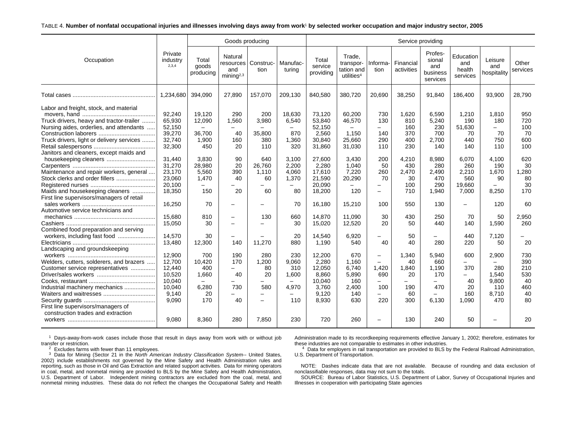#### TABLE 4. **Number of nonfatal occupational injuries and illnesses involving days away from work**1 **by selected worker occupation and major industry sector, 2005**

|                                                                                                                                                                                                                                                                                                                                                                                                                                                                                                                                                                                                                                                 |                                                                                                                                                                                                                                                      |                                                                                                                                                                                                              | Goods producing                                                                                                                                                                                                                                                            |                                                                                                                                                                                                                                   |                                                                                                                                                                                                                                                                                  |                                                                                                                                                                                                                                                |                                                                                                                                                                                                                                                 |                                                                                                                                                                                                                                 |                                                                                                                                                                                | Service providing                                                                                                                                                              |                                                                                                                                                                                |                                                                                                                                                                               |                                                                                                                                                                 |
|-------------------------------------------------------------------------------------------------------------------------------------------------------------------------------------------------------------------------------------------------------------------------------------------------------------------------------------------------------------------------------------------------------------------------------------------------------------------------------------------------------------------------------------------------------------------------------------------------------------------------------------------------|------------------------------------------------------------------------------------------------------------------------------------------------------------------------------------------------------------------------------------------------------|--------------------------------------------------------------------------------------------------------------------------------------------------------------------------------------------------------------|----------------------------------------------------------------------------------------------------------------------------------------------------------------------------------------------------------------------------------------------------------------------------|-----------------------------------------------------------------------------------------------------------------------------------------------------------------------------------------------------------------------------------|----------------------------------------------------------------------------------------------------------------------------------------------------------------------------------------------------------------------------------------------------------------------------------|------------------------------------------------------------------------------------------------------------------------------------------------------------------------------------------------------------------------------------------------|-------------------------------------------------------------------------------------------------------------------------------------------------------------------------------------------------------------------------------------------------|---------------------------------------------------------------------------------------------------------------------------------------------------------------------------------------------------------------------------------|--------------------------------------------------------------------------------------------------------------------------------------------------------------------------------|--------------------------------------------------------------------------------------------------------------------------------------------------------------------------------|--------------------------------------------------------------------------------------------------------------------------------------------------------------------------------|-------------------------------------------------------------------------------------------------------------------------------------------------------------------------------|-----------------------------------------------------------------------------------------------------------------------------------------------------------------|
| Occupation                                                                                                                                                                                                                                                                                                                                                                                                                                                                                                                                                                                                                                      | Private<br>industry<br>2,3,4                                                                                                                                                                                                                         | Total<br>goods<br>producing                                                                                                                                                                                  | Natural<br>resources<br>and<br>minima <sup>2,3</sup>                                                                                                                                                                                                                       | Construc-<br>tion                                                                                                                                                                                                                 | Manufac-<br>turing                                                                                                                                                                                                                                                               | Total<br>service<br>providing                                                                                                                                                                                                                  | Trade.<br>transpor-<br>tation and<br>utilities <sup>4</sup>                                                                                                                                                                                     | Informa-<br>tion                                                                                                                                                                                                                | Financial<br>activities                                                                                                                                                        | Profes-<br>sional<br>and<br>business<br>services                                                                                                                               | Education<br>and<br>health<br>services                                                                                                                                         | Leisure<br>and<br>hospitality                                                                                                                                                 | Other<br>services                                                                                                                                               |
|                                                                                                                                                                                                                                                                                                                                                                                                                                                                                                                                                                                                                                                 | 1,234,680 394,090                                                                                                                                                                                                                                    |                                                                                                                                                                                                              | 27.890                                                                                                                                                                                                                                                                     | 157,070                                                                                                                                                                                                                           | 209,130                                                                                                                                                                                                                                                                          | 840,580                                                                                                                                                                                                                                        | 380.720                                                                                                                                                                                                                                         | 20.690                                                                                                                                                                                                                          | 38,250                                                                                                                                                                         | 91.840                                                                                                                                                                         | 186.400                                                                                                                                                                        | 93.900                                                                                                                                                                        | 28.790                                                                                                                                                          |
| Labor and freight, stock, and material<br>Truck drivers, heavy and tractor-trailer<br>Nursing aides, orderlies, and attendants<br>Truck drivers, light or delivery services<br>Janitors and cleaners, except maids and<br>housekeeping cleaners<br>Maintenance and repair workers, general<br>Stock clerks and order fillers<br>Maids and housekeeping cleaners<br>First line supervisors/managers of retail<br>Automotive service technicians and<br>Combined food preparation and serving<br>Landscaping and groundskeeping<br>Welders, cutters, solderers, and brazers<br>Customer service representatives<br>Industrial machinery mechanics | 92,240<br>65,930<br>52,150<br>39,270<br>32,740<br>32,300<br>31.440<br>31,270<br>23,170<br>23,060<br>20,100<br>18,350<br>16,250<br>15.680<br>15,050<br>14,570<br>13,480<br>12,900<br>12,700<br>12.440<br>10,520<br>10,040<br>10,040<br>9,140<br>9,090 | 19,120<br>12,090<br>36,700<br>1,900<br>450<br>3.830<br>28,980<br>5,560<br>1,470<br>150<br>70<br>810<br>30<br>30<br>12,300<br>700<br>10,420<br>400<br>1,660<br>$\overline{\phantom{0}}$<br>6,280<br>20<br>170 | 290<br>1,560<br>$\overline{\phantom{0}}$<br>40<br>160<br>20<br>90<br>20<br>390<br>40<br>$\equiv$<br>20<br>$\overline{\phantom{0}}$<br>$\overline{\phantom{0}}$<br>$\equiv$<br>140<br>190<br>170<br>$\overline{\phantom{0}}$<br>40<br>$\overline{\phantom{0}}$<br>730<br>40 | 200<br>3,980<br>35,800<br>380<br>110<br>640<br>26,760<br>1,110<br>60<br>$\equiv$<br>60<br>۰<br>130<br>۰<br>11.270<br>280<br>1,200<br>80<br>20<br>$\qquad \qquad -$<br>580<br>$\overline{\phantom{m}}$<br>$\overline{\phantom{0}}$ | 18,630<br>6,540<br>$\overline{\phantom{0}}$<br>870<br>1,360<br>320<br>3.100<br>2,200<br>4.060<br>1,370<br>$\overline{\phantom{0}}$<br>80<br>70<br>660<br>30<br>20<br>880<br>230<br>9.060<br>310<br>1,600<br>$\overline{\phantom{0}}$<br>4,970<br>$\overline{\phantom{0}}$<br>110 | 73,120<br>53.840<br>52,150<br>2,560<br>30,840<br>31,860<br>27,600<br>2,280<br>17,610<br>21,590<br>20,090<br>18,200<br>16,180<br>14.870<br>15,020<br>14,540<br>1,190<br>12,200<br>2,280<br>12.050<br>8,860<br>10.040<br>3,760<br>9,120<br>8,930 | 60,200<br>46,570<br>$\overline{\phantom{0}}$<br>1.150<br>25,660<br>31.030<br>3.430<br>1,040<br>7,220<br>20,290<br>$\equiv$<br>120<br>15,210<br>11.090<br>12,520<br>6,920<br>540<br>670<br>1.160<br>6.740<br>5,890<br>160<br>2,400<br>140<br>630 | 730<br>130<br>$-$<br>140<br>290<br>110<br>200<br>50<br>260<br>70<br>$\equiv$<br>$\equiv$<br>100<br>30<br>20<br>-<br>40<br>$\overline{\phantom{0}}$<br>$\overline{\phantom{0}}$<br>1.420<br>690<br>$-$<br>100<br>$\equiv$<br>220 | 1,620<br>810<br>160<br>370<br>400<br>230<br>4,210<br>430<br>2,470<br>30<br>100<br>710<br>550<br>430<br>50<br>50<br>40<br>1,340<br>40<br>1,840<br>20<br>$-$<br>190<br>60<br>300 | 6,590<br>5,240<br>230<br>700<br>2,700<br>140<br>8,980<br>280<br>2,490<br>470<br>290<br>1,940<br>130<br>250<br>440<br>280<br>5,940<br>660<br>1.190<br>170<br>Ξ.<br>470<br>6,130 | 1,210<br>190<br>51.630<br>70<br>440<br>140<br>6.070<br>260<br>2,210<br>560<br>19,660<br>7,000<br>$\equiv$<br>70<br>140<br>440<br>220<br>600<br>370<br>40<br>20<br>160<br>1.090 | 1,810<br>180<br>$-$<br>70<br>750<br>110<br>4.100<br>190<br>1,670<br>90<br>8,250<br>120<br>50<br>1,590<br>7,120<br>50<br>2,900<br>280<br>1,540<br>9.800<br>110<br>8,710<br>470 | 950<br>720<br>100<br>70<br>600<br>100<br>620<br>30<br>1,280<br>80<br>30<br>170<br>60<br>2,950<br>260<br>20<br>730<br>390<br>210<br>530<br>40<br>460<br>40<br>80 |
| First line supervisors/managers of<br>construction trades and extraction                                                                                                                                                                                                                                                                                                                                                                                                                                                                                                                                                                        | 9.080                                                                                                                                                                                                                                                | 8.360                                                                                                                                                                                                        | 280                                                                                                                                                                                                                                                                        | 7.850                                                                                                                                                                                                                             | 230                                                                                                                                                                                                                                                                              | 720                                                                                                                                                                                                                                            | 260                                                                                                                                                                                                                                             |                                                                                                                                                                                                                                 | 130                                                                                                                                                                            | 240                                                                                                                                                                            | 50                                                                                                                                                                             |                                                                                                                                                                               | 20                                                                                                                                                              |

 $1$  Days-away-from-work cases include those that result in days away from work with or without job transfer or restriction.

 $2$  Excludes farms with fewer than 11 employees.

3 Data for Mining (Sector 21 in the *North American Industry Classification System--* United States, 2002) include establishments not governed by the Mine Safety and Health Administration rules and reporting, such as those in Oil and Gas Extraction and related support activities. Data for mining operators in coal, metal, and nonmetal mining are provided to BLS by the Mine Safety and Health Administration, U.S. Department of Labor. Independent mining contractors are excluded from the coal, metal, and nonmetal mining industries. These data do not reflect the changes the Occupational Safety and Health Administration made to its recordkeeping requirements effective January 1, 2002; therefore, estimates for these industries are not comparable to estimates in other industries.

<sup>4</sup> Data for employers in rail transportation are provided to BLS by the Federal Railroad Administration, U.S. Department of Transportation.

NOTE: Dashes indicate data that are not available. Because of rounding and data exclusion of nonclassifiable responses, data may not sum to the totals.

SOURCE: Bureau of Labor Statistics, U.S. Department of Labor, Survey of Occupational Injuries and Illnesses in cooperation with participating State agencies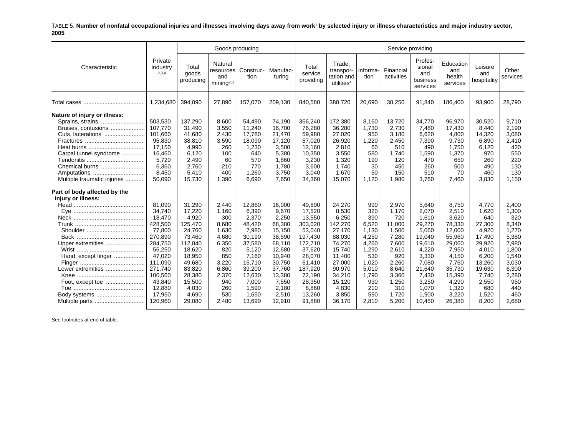TABLE 5. **Number of nonfatal occupational injuries and illnesses involving days away from work**1 **by selected injury or illness characteristics and major industry sector, 2005**

|                                                                                                                                                                                        |                                                                                                                                                                     |                                                                                                                                                             | Goods producing                                                                                                                  |                                                                                                                                                      |                                                                                                                                                         |                                                                                                                                                                 |                                                                                                                                                           |                                                                                                                                |                                                                                                                                         | Service providing                                                                                                                                 |                                                                                                                                                     |                                                                                                                                               |                                                                                                                                      |
|----------------------------------------------------------------------------------------------------------------------------------------------------------------------------------------|---------------------------------------------------------------------------------------------------------------------------------------------------------------------|-------------------------------------------------------------------------------------------------------------------------------------------------------------|----------------------------------------------------------------------------------------------------------------------------------|------------------------------------------------------------------------------------------------------------------------------------------------------|---------------------------------------------------------------------------------------------------------------------------------------------------------|-----------------------------------------------------------------------------------------------------------------------------------------------------------------|-----------------------------------------------------------------------------------------------------------------------------------------------------------|--------------------------------------------------------------------------------------------------------------------------------|-----------------------------------------------------------------------------------------------------------------------------------------|---------------------------------------------------------------------------------------------------------------------------------------------------|-----------------------------------------------------------------------------------------------------------------------------------------------------|-----------------------------------------------------------------------------------------------------------------------------------------------|--------------------------------------------------------------------------------------------------------------------------------------|
| Characteristic                                                                                                                                                                         | Private<br>industry<br>2,3,4                                                                                                                                        | Total<br>goods<br>producing                                                                                                                                 | Natural<br>resources<br>and<br>minin a <sup>2,3</sup>                                                                            | Construc-<br>tion                                                                                                                                    | Manufac-<br>turing                                                                                                                                      | Total<br>service<br>providing                                                                                                                                   | Trade,<br>transpor-<br>tation and<br>utilities <sup>4</sup>                                                                                               | Informa-<br>tion                                                                                                               | Financial<br>activities                                                                                                                 | Profes-<br>sional<br>and<br>business<br>services                                                                                                  | Education<br>and<br>health<br>services                                                                                                              | Leisure<br>and<br>hospitality                                                                                                                 | Other<br>services                                                                                                                    |
|                                                                                                                                                                                        | 1.234.680                                                                                                                                                           | 394,090                                                                                                                                                     | 27,890                                                                                                                           | 157,070                                                                                                                                              | 209,130                                                                                                                                                 | 840,580                                                                                                                                                         | 380,720                                                                                                                                                   | 20,690                                                                                                                         | 38,250                                                                                                                                  | 91,840                                                                                                                                            | 186,400                                                                                                                                             | 93,900                                                                                                                                        | 28.790                                                                                                                               |
| Nature of injury or illness:<br>Sprains, strains<br>Bruises, contusions<br>Cuts, lacerations<br>Carpal tunnel syndrome<br>Chemical burns<br>Amputations<br>Multiple traumatic injuries | 503,530<br>107,770<br>101,660<br>95,830<br>17,150<br>16.460<br>5.720<br>6.360<br>8,450<br>50,090                                                                    | 137,290<br>31,490<br>41,680<br>38,810<br>4,990<br>6.120<br>2,490<br>2,760<br>5,410<br>15,730                                                                | 8,600<br>3,550<br>2,430<br>3,590<br>260<br>100<br>60<br>210<br>400<br>1,390                                                      | 54,490<br>11,240<br>17,780<br>18,090<br>1,230<br>640<br>570<br>770<br>1,260<br>6.690                                                                 | 74,190<br>16,700<br>21,470<br>17,120<br>3,500<br>5,380<br>1,860<br>1,780<br>3,750<br>7,650                                                              | 366,240<br>76,280<br>59,980<br>57,020<br>12,160<br>10.350<br>3,230<br>3,600<br>3,040<br>34,360                                                                  | 172,380<br>36,280<br>27,020<br>26,920<br>2,810<br>3,550<br>1,320<br>1.740<br>1,670<br>15,070                                                              | 8,160<br>1,730<br>950<br>1,220<br>60<br>580<br>190<br>30<br>50<br>1,120                                                        | 13,720<br>2,730<br>3,180<br>2,450<br>510<br>1.740<br>120<br>450<br>150<br>1,980                                                         | 34,770<br>7,480<br>6,620<br>7,390<br>490<br>1,590<br>470<br>260<br>510<br>3.760                                                                   | 96,970<br>17,430<br>4,800<br>9,730<br>1,750<br>1,370<br>650<br>500<br>70<br>7.460                                                                   | 30,520<br>8,440<br>14,320<br>6,890<br>6,120<br>970<br>260<br>490<br>460<br>3,830                                                              | 9,710<br>2,190<br>3,080<br>2,410<br>420<br>550<br>220<br>130<br>130<br>1.150                                                         |
| Part of body affected by the<br>injury or illness:<br>Upper extremities<br>Hand, except finger<br>Lower extremities<br>Foot, except toe<br>Multiple parts                              | 81,090<br>34,740<br>18.470<br>428,500<br>77,800<br>270,890<br>284,750<br>56,250<br>47,020<br>111,090<br>271.740<br>100,560<br>43,840<br>12,880<br>17,950<br>120.960 | 31,290<br>17,220<br>4.920<br>125,470<br>24,760<br>73,460<br>112,040<br>18,620<br>18,950<br>49,680<br>83,820<br>28,380<br>15,500<br>4.030<br>4,690<br>29,080 | 2,440<br>1,160<br>300<br>8,680<br>1,630<br>4,680<br>6,350<br>820<br>850<br>3,220<br>6,860<br>2,370<br>940<br>260<br>530<br>2.480 | 12,860<br>6,390<br>2,370<br>48,420<br>7,980<br>30,190<br>37,580<br>5,120<br>7,160<br>15,710<br>39,200<br>12,630<br>7,000<br>1,590<br>1,650<br>13,690 | 16,000<br>9,670<br>2,250<br>68,380<br>15,150<br>38,590<br>68,110<br>12,680<br>10,940<br>30,750<br>37,760<br>13,380<br>7,550<br>2.180<br>2,510<br>12,910 | 49,800<br>17,520<br>13.550<br>303,020<br>53,040<br>197,430<br>172,710<br>37,620<br>28,070<br>61,410<br>187,920<br>72,190<br>28,350<br>8.860<br>13,260<br>91.880 | 24,270<br>8,530<br>6,250<br>142,270<br>27,170<br>88,030<br>74,270<br>15,740<br>11,400<br>27,000<br>90,970<br>34,210<br>15,120<br>4,830<br>3,850<br>36.170 | 990<br>320<br>390<br>6.520<br>1.130<br>4,250<br>4,260<br>1,290<br>530<br>1,020<br>5,010<br>1,790<br>930<br>210<br>590<br>2,810 | 2,970<br>1,170<br>720<br>11.000<br>1.500<br>7,280<br>7,600<br>2,610<br>920<br>2,260<br>8,640<br>3,360<br>1,250<br>310<br>1,720<br>5,200 | 5,640<br>2,070<br>1.610<br>29,270<br>5,060<br>19,040<br>19,610<br>4,220<br>3,330<br>7,080<br>21,640<br>7,430<br>3,250<br>1,070<br>1,900<br>10.450 | 8,750<br>2,510<br>3.620<br>78,330<br>12.000<br>55,960<br>29,060<br>7,950<br>4,150<br>7,760<br>35,730<br>15,390<br>4,290<br>1,320<br>3,220<br>26,380 | 4,770<br>1,620<br>640<br>27,300<br>4,920<br>17,490<br>29,920<br>4,010<br>6,200<br>13,260<br>19,630<br>7,740<br>2,550<br>680<br>1,520<br>8,200 | 2,400<br>1,300<br>320<br>8,340<br>1,270<br>5,380<br>7,980<br>1,800<br>1,540<br>3,030<br>6,300<br>2,280<br>950<br>440<br>460<br>2.680 |

See footnotes at end of table.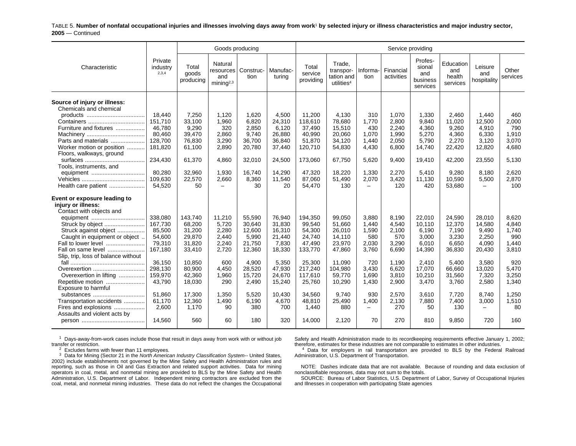TABLE 5. **Number of nonfatal occupational injuries and illnesses involving days away from work**1 **by selected injury or illness characteristics and major industry sector, 2005** — Continued

|                                                                                                                                                                                                                                                                                                                                                                                                                                           |                                                                                                                                    |                                                                                                                                | Goods producing                                                                                             |                                                                                                                        |                                                                                                                          |                                                                                                                                   |                                                                                                                             |                                                                                                                                |                                                                                                               | Service providing                                                                                                   |                                                                                                                      |                                                                                                                                          |                                                                                                            |
|-------------------------------------------------------------------------------------------------------------------------------------------------------------------------------------------------------------------------------------------------------------------------------------------------------------------------------------------------------------------------------------------------------------------------------------------|------------------------------------------------------------------------------------------------------------------------------------|--------------------------------------------------------------------------------------------------------------------------------|-------------------------------------------------------------------------------------------------------------|------------------------------------------------------------------------------------------------------------------------|--------------------------------------------------------------------------------------------------------------------------|-----------------------------------------------------------------------------------------------------------------------------------|-----------------------------------------------------------------------------------------------------------------------------|--------------------------------------------------------------------------------------------------------------------------------|---------------------------------------------------------------------------------------------------------------|---------------------------------------------------------------------------------------------------------------------|----------------------------------------------------------------------------------------------------------------------|------------------------------------------------------------------------------------------------------------------------------------------|------------------------------------------------------------------------------------------------------------|
| Characteristic                                                                                                                                                                                                                                                                                                                                                                                                                            | Private<br>industry<br>2,3,4                                                                                                       | Total<br>goods<br>producing                                                                                                    | Natural<br>and<br>mining $2,3$                                                                              | resources   Construc-<br>tion                                                                                          | Manufac-<br>turing                                                                                                       | Total<br>service<br>providing                                                                                                     | Trade.<br>transpor-<br>tation and<br>utilities <sup>4</sup>                                                                 | Informa-<br>tion                                                                                                               | Financial<br>activities                                                                                       | Profes-<br>sional<br>and<br>business<br>services                                                                    | Education<br>and<br>health<br>services                                                                               | Leisure<br>and<br>hospitality                                                                                                            | Other<br>services                                                                                          |
| Source of injury or illness:<br>Chemicals and chemical<br>Furniture and fixtures<br>Parts and materials<br>Worker motion or position<br>Floors, walkways, ground<br>Tools, instruments, and<br>equipment                                                                                                                                                                                                                                  | 18.440<br>151,710<br>46,780<br>80,460<br>128,700<br>181.820<br>234,430<br>80,280                                                   | 7,250<br>33,100<br>9,290<br>39,470<br>76,830<br>61,100<br>61,370<br>32,960                                                     | 1.120<br>1,960<br>320<br>2,860<br>3,290<br>2,890<br>4.860<br>1,930                                          | 1.620<br>6,820<br>2,850<br>9,740<br>36.700<br>20,780<br>32,010<br>16,740                                               | 4,500<br>24,310<br>6,120<br>26,880<br>36,840<br>37,440<br>24,500<br>14,290                                               | 11,200<br>118,610<br>37,490<br>40,990<br>51,870<br>120,710<br>173,060<br>47,320                                                   | 4.130<br>78,680<br>15,510<br>20,060<br>34,120<br>54,830<br>67,750<br>18,220                                                 | 310<br>1,770<br>430<br>1,070<br>1,440<br>4,430<br>5,620<br>1,330                                                               | 1,070<br>2,800<br>2,240<br>1,990<br>2,050<br>6,800<br>9,400<br>2,270                                          | 1,330<br>9,840<br>4,360<br>5,270<br>5,790<br>14,740<br>19,410<br>5,410                                              | 2.460<br>11,020<br>9,260<br>4,360<br>2,270<br>22,420<br>42,200<br>9,280                                              | 1.440<br>12,500<br>4,910<br>6,330<br>3.120<br>12,820<br>23,550<br>8,180                                                                  | 460<br>2,000<br>790<br>1,910<br>3.070<br>4.680<br>5,130<br>2,620                                           |
| Health care patient                                                                                                                                                                                                                                                                                                                                                                                                                       | 109,630<br>54,520                                                                                                                  | 22,570<br>50                                                                                                                   | 2,660<br>$\overline{\phantom{0}}$                                                                           | 8,360<br>30                                                                                                            | 11,540<br>20                                                                                                             | 87,060<br>54,470                                                                                                                  | 51,490<br>130                                                                                                               | 2,070<br>$\qquad \qquad -$                                                                                                     | 3,420<br>120                                                                                                  | 11,130<br>420                                                                                                       | 10,590<br>53,680                                                                                                     | 5,500<br>$\overline{\phantom{0}}$                                                                                                        | 2,870<br>100                                                                                               |
| Event or exposure leading to<br>injury or illness:<br>Contact with objects and<br>Struck by object<br>Struck against object<br>Caught in equipment or object<br>Fall to lower level<br>Fall on same level<br>Slip, trip, loss of balance without<br>Overexertion<br>Overexertion in lifting<br>Repetitive motion<br>Exposure to harmful<br>substances<br>Transportation accidents<br>Fires and explosions<br>Assaults and violent acts by | 338,080<br>167,730<br>85.500<br>54,600<br>79,310<br>167,180<br>36,150<br>298.130<br>159,970<br>43,790<br>51.860<br>61,170<br>2,600 | 143,740<br>68,200<br>31,200<br>29,870<br>31,820<br>33,410<br>10,850<br>80.900<br>42,360<br>18,030<br>17,300<br>12,360<br>1,170 | 11,210<br>5,720<br>2,280<br>2,440<br>2,240<br>2,720<br>600<br>4.450<br>1,960<br>290<br>1.350<br>1,490<br>90 | 55,590<br>30.640<br>12.600<br>5,990<br>21,750<br>12,360<br>4,900<br>28.520<br>15,720<br>2,490<br>5.520<br>6,190<br>380 | 76,940<br>31,830<br>16,310<br>21,440<br>7.830<br>18,330<br>5,350<br>47,930<br>24,670<br>15,240<br>10,430<br>4,670<br>700 | 194,350<br>99,540<br>54,300<br>24,740<br>47,490<br>133,770<br>25,300<br>217,240<br>117,610<br>25,760<br>34.560<br>48,810<br>1,440 | 99.050<br>51,660<br>26.010<br>14,110<br>23,970<br>47,860<br>11,090<br>104.980<br>59,770<br>10,290<br>9.740<br>25,490<br>880 | 3,880<br>1,440<br>1,590<br>580<br>2,030<br>3,760<br>720<br>3.430<br>1,690<br>1,430<br>930<br>1,400<br>$\overline{\phantom{m}}$ | 8.190<br>4,540<br>2,100<br>570<br>3,290<br>6,690<br>1,190<br>6.620<br>3,810<br>2,900<br>2,570<br>2,130<br>270 | 22,010<br>10,110<br>6.190<br>3,000<br>6,010<br>14,390<br>2,410<br>17.070<br>10,210<br>3,470<br>3.610<br>7,880<br>50 | 24,590<br>12,370<br>7.190<br>3,230<br>6.650<br>36,830<br>5,400<br>66.660<br>31,560<br>3,760<br>7,720<br>7,400<br>130 | 28,010<br>14,580<br>9,490<br>2,250<br>4,090<br>20,430<br>3,580<br>13.020<br>7,320<br>2,580<br>8.740<br>3,000<br>$\overline{\phantom{0}}$ | 8.620<br>4,840<br>1.740<br>990<br>1.440<br>3.810<br>920<br>5,470<br>3,250<br>1.340<br>1,250<br>1,510<br>80 |
|                                                                                                                                                                                                                                                                                                                                                                                                                                           | 14.560                                                                                                                             | 560                                                                                                                            | 60                                                                                                          | 180                                                                                                                    | 320                                                                                                                      | 14.000                                                                                                                            | 2,120                                                                                                                       | 70                                                                                                                             | 270                                                                                                           | 810                                                                                                                 | 9.850                                                                                                                | 720                                                                                                                                      | 160                                                                                                        |

 $1$  Days-away-from-work cases include those that result in days away from work with or without job transfer or restriction.

Safety and Health Administration made to its recordkeeping requirements effective January 1, 2002; therefore, estimates for these industries are not comparable to estimates in other industries.  $<sup>4</sup>$  Data for employers in rail transportation are provided to BLS by the Federal Railroad</sup>

Administration, U.S. Department of Transportation.

 $2^{2}$  Excludes farms with fewer than 11 employees.

3 Data for Mining (Sector 21 in the *North American Industry Classification System--* United States, 2002) include establishments not governed by the Mine Safety and Health Administration rules and reporting, such as those in Oil and Gas Extraction and related support activities. Data for mining operators in coal, metal, and nonmetal mining are provided to BLS by the Mine Safety and Health Administration, U.S. Department of Labor. Independent mining contractors are excluded from the coal, metal, and nonmetal mining industries. These data do not reflect the changes the Occupational

NOTE: Dashes indicate data that are not available. Because of rounding and data exclusion of nonclassifiable responses, data may not sum to the totals.

SOURCE: Bureau of Labor Statistics, U.S. Department of Labor, Survey of Occupational Injuries and Illnesses in cooperation with participating State agencies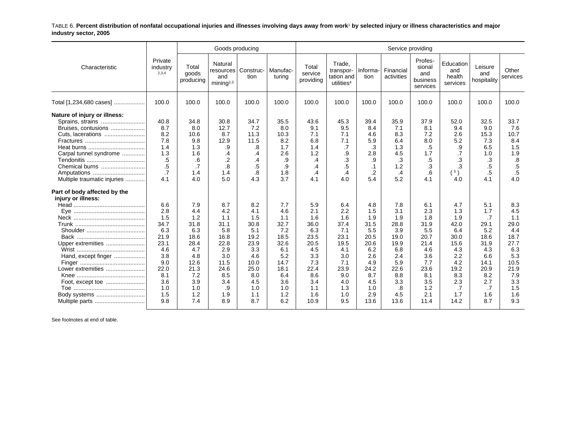TABLE 6. **Percent distribution of nonfatal occupational injuries and illnesses involving days away from work**1 **by selected injury or illness characteristics and major industry sector, 2005**

|                                                                                                                                                         |                                                                                                                  |                                                                                                                   | Goods producing                                                                                                  |                                                                                                                   |                                                                                                                   |                                                                                                                   |                                                                                                                  |                                                                                                                   | Service providing                                                                                                |                                                                                                                   |                                                                                                                  |                                                                                                                 |                                                                                                                   |
|---------------------------------------------------------------------------------------------------------------------------------------------------------|------------------------------------------------------------------------------------------------------------------|-------------------------------------------------------------------------------------------------------------------|------------------------------------------------------------------------------------------------------------------|-------------------------------------------------------------------------------------------------------------------|-------------------------------------------------------------------------------------------------------------------|-------------------------------------------------------------------------------------------------------------------|------------------------------------------------------------------------------------------------------------------|-------------------------------------------------------------------------------------------------------------------|------------------------------------------------------------------------------------------------------------------|-------------------------------------------------------------------------------------------------------------------|------------------------------------------------------------------------------------------------------------------|-----------------------------------------------------------------------------------------------------------------|-------------------------------------------------------------------------------------------------------------------|
| Characteristic                                                                                                                                          | Private<br>industry<br>2,3,4                                                                                     | Total<br>goods<br>producing                                                                                       | Natural<br>resources<br>and<br>mining $2,3$                                                                      | Construc-<br>tion                                                                                                 | Manufac-<br>turing                                                                                                | Total<br>service<br>providing                                                                                     | Trade.<br>transpor-<br>tation and<br>utilities <sup>4</sup>                                                      | Informa-<br>tion                                                                                                  | Financial<br>activities                                                                                          | Profes-<br>sional<br>and<br>business<br>services                                                                  | Education<br>and<br>health<br>services                                                                           | Leisure<br>and<br>hospitality                                                                                   | Other<br>services                                                                                                 |
| Total [1,234,680 cases]                                                                                                                                 | 100.0                                                                                                            | 100.0                                                                                                             | 100.0                                                                                                            | 100.0                                                                                                             | 100.0                                                                                                             | 100.0                                                                                                             | 100.0                                                                                                            | 100.0                                                                                                             | 100.0                                                                                                            | 100.0                                                                                                             | 100.0                                                                                                            | 100.0                                                                                                           | 100.0                                                                                                             |
| Nature of injury or illness:<br>Sprains, strains<br>Bruises, contusions<br>Cuts, lacerations<br>Carpal tunnel syndrome<br>Chemical burns<br>Amputations | 40.8<br>8.7<br>8.2<br>7.8<br>1.4<br>1.3<br>.5<br>.5<br>$\cdot$ 7                                                 | 34.8<br>8.0<br>10.6<br>9.8<br>1.3<br>1.6<br>.6<br>.7<br>1.4                                                       | 30.8<br>12.7<br>8.7<br>12.9<br>.9<br>$\cdot$<br>.2<br>8.<br>1.4                                                  | 34.7<br>7.2<br>11.3<br>11.5<br>.8<br>.4<br>.4<br>.5<br>.8                                                         | 35.5<br>8.0<br>10.3<br>8.2<br>1.7<br>2.6<br>.9<br>.9<br>1.8                                                       | 43.6<br>9.1<br>7.1<br>6.8<br>1.4<br>1.2<br>$\overline{.4}$<br>$\overline{A}$<br>.4                                | 45.3<br>9.5<br>7.1<br>7.1<br>.7<br>.9<br>.3<br>$.5\,$<br>.4                                                      | 39.4<br>8.4<br>4.6<br>5.9<br>.3<br>2.8<br>.9<br>$\cdot$ 1<br>.2                                                   | 35.9<br>7.1<br>8.3<br>6.4<br>1.3<br>4.5<br>.3<br>1.2<br>$\cdot$ 4                                                | 37.9<br>8.1<br>7.2<br>8.0<br>.5<br>1.7<br>.5<br>.3<br>.6                                                          | 52.0<br>9.4<br>2.6<br>5.2<br>.9<br>.7<br>.3<br>.3<br>(5)                                                         | 32.5<br>9.0<br>15.3<br>7.3<br>6.5<br>1.0<br>.3<br>.5<br>.5                                                      | 33.7<br>7.6<br>10.7<br>8.4<br>1.5<br>1.9<br>.8<br>$.5\,$<br>$.5\,$                                                |
| Multiple traumatic injuries<br>Part of body affected by the<br>injury or illness:                                                                       | 4.1                                                                                                              | 4.0                                                                                                               | 5.0                                                                                                              | 4.3                                                                                                               | 3.7                                                                                                               | 4.1                                                                                                               | 4.0                                                                                                              | 5.4                                                                                                               | 5.2                                                                                                              | 4.1                                                                                                               | 4.0                                                                                                              | 4.1                                                                                                             | 4.0                                                                                                               |
| Upper extremities<br>Hand, except finger<br>Lower extremities<br>Foot, except toe<br>Body systems<br>Multiple parts                                     | 6.6<br>2.8<br>1.5<br>34.7<br>6.3<br>21.9<br>23.1<br>4.6<br>3.8<br>9.0<br>22.0<br>8.1<br>3.6<br>1.0<br>1.5<br>9.8 | 7.9<br>4.4<br>1.2<br>31.8<br>6.3<br>18.6<br>28.4<br>4.7<br>4.8<br>12.6<br>21.3<br>7.2<br>3.9<br>1.0<br>1.2<br>7.4 | 8.7<br>4.2<br>1.1<br>31.1<br>5.8<br>16.8<br>22.8<br>2.9<br>3.0<br>11.5<br>24.6<br>8.5<br>3.4<br>.9<br>1.9<br>8.9 | 8.2<br>4.1<br>1.5<br>30.8<br>5.1<br>19.2<br>23.9<br>3.3<br>4.6<br>10.0<br>25.0<br>8.0<br>4.5<br>1.0<br>1.1<br>8.7 | 7.7<br>4.6<br>1.1<br>32.7<br>7.2<br>18.5<br>32.6<br>6.1<br>5.2<br>14.7<br>18.1<br>6.4<br>3.6<br>1.0<br>1.2<br>6.2 | 5.9<br>2.1<br>1.6<br>36.0<br>6.3<br>23.5<br>20.5<br>4.5<br>3.3<br>7.3<br>22.4<br>8.6<br>3.4<br>1.1<br>1.6<br>10.9 | 6.4<br>2.2<br>1.6<br>37.4<br>7.1<br>23.1<br>19.5<br>4.1<br>3.0<br>7.1<br>23.9<br>9.0<br>4.0<br>1.3<br>1.0<br>9.5 | 4.8<br>1.5<br>1.9<br>31.5<br>5.5<br>20.5<br>20.6<br>6.2<br>2.6<br>4.9<br>24.2<br>8.7<br>4.5<br>1.0<br>2.9<br>13.6 | 7.8<br>3.1<br>1.9<br>28.8<br>3.9<br>19.0<br>19.9<br>6.8<br>2.4<br>5.9<br>22.6<br>8.8<br>3.3<br>.8<br>4.5<br>13.6 | 6.1<br>2.3<br>1.8<br>31.9<br>5.5<br>20.7<br>21.4<br>4.6<br>3.6<br>7.7<br>23.6<br>8.1<br>3.5<br>1.2<br>2.1<br>11.4 | 4.7<br>1.3<br>1.9<br>42.0<br>6.4<br>30.0<br>15.6<br>4.3<br>2.2<br>4.2<br>19.2<br>8.3<br>2.3<br>.7<br>1.7<br>14.2 | 5.1<br>1.7<br>.7<br>29.1<br>5.2<br>18.6<br>31.9<br>4.3<br>6.6<br>14.1<br>20.9<br>8.2<br>2.7<br>.7<br>1.6<br>8.7 | 8.3<br>4.5<br>1.1<br>29.0<br>4.4<br>18.7<br>27.7<br>6.3<br>5.3<br>10.5<br>21.9<br>7.9<br>3.3<br>1.5<br>1.6<br>9.3 |

See footnotes at end of table.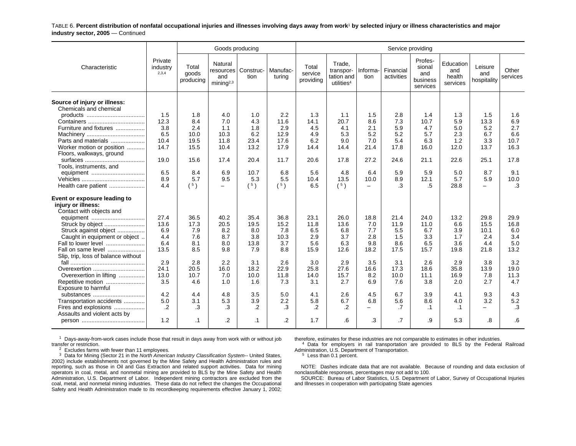TABLE 6. **Percent distribution of nonfatal occupational injuries and illnesses involving days away from work**1 **by selected injury or illness characteristics and major industry sector, 2005** — Continued

|                                                                                |                              |                             | Goods producing                                       |                   |                    |                               |                                                             |                          | Service providing       |                                                  |                                        |                               |                   |
|--------------------------------------------------------------------------------|------------------------------|-----------------------------|-------------------------------------------------------|-------------------|--------------------|-------------------------------|-------------------------------------------------------------|--------------------------|-------------------------|--------------------------------------------------|----------------------------------------|-------------------------------|-------------------|
| Characteristic                                                                 | Private<br>industry<br>2,3,4 | Total<br>goods<br>producing | Natural<br>resources<br>and<br>minin a <sup>2,3</sup> | Construc-<br>tion | Manufac-<br>turina | Total<br>service<br>providing | Trade,<br>transpor-<br>tation and<br>utilities <sup>4</sup> | Informa-<br>tion         | Financial<br>activities | Profes-<br>sional<br>and<br>business<br>services | Education<br>and<br>health<br>services | Leisure<br>and<br>hospitality | Other<br>services |
| Source of injury or illness:<br>Chemicals and chemical                         |                              |                             |                                                       |                   |                    |                               |                                                             |                          |                         |                                                  |                                        |                               |                   |
|                                                                                | 1.5                          | 1.8                         | 4.0                                                   | 1.0               | 2.2                | 1.3                           | 1.1                                                         | 1.5                      | 2.8                     | 1.4                                              | 1.3                                    | 1.5                           | 1.6               |
|                                                                                | 12.3                         | 8.4                         | 7.0                                                   | 4.3               | 11.6               | 14.1                          | 20.7                                                        | 8.6                      | 7.3                     | 10.7                                             | 5.9                                    | 13.3                          | 6.9               |
| Furniture and fixtures                                                         | 3.8                          | 2.4                         | 1.1                                                   | 1.8               | 2.9                | 4.5                           | 4.1                                                         | 2.1                      | 5.9                     | 4.7                                              | 5.0                                    | 5.2                           | 2.7               |
|                                                                                | 6.5                          | 10.0                        | 10.3                                                  | 6.2               | 12.9               | 4.9                           | 5.3                                                         | 5.2                      | 5.2                     | 5.7                                              | 2.3                                    | 6.7                           | 6.6               |
| Parts and materials                                                            | 10.4                         | 19.5                        | 11.8                                                  | 23.4              | 17.6               | 6.2                           | 9.0                                                         | 7.0                      | 5.4                     | 6.3                                              | 1.2                                    | 3.3                           | 10.7              |
| Worker motion or position                                                      | 14.7                         | 15.5                        | 10.4                                                  | 13.2              | 17.9               | 14.4                          | 14.4                                                        | 21.4                     | 17.8                    | 16.0                                             | 12.0                                   | 13.7                          | 16.3              |
| Floors, walkways, ground                                                       | 19.0                         | 15.6                        | 17.4                                                  | 20.4              | 11.7               | 20.6                          | 17.8                                                        | 27.2                     | 24.6                    | 21.1                                             | 22.6                                   | 25.1                          | 17.8              |
| Tools, instruments, and                                                        |                              |                             |                                                       |                   |                    |                               |                                                             |                          |                         |                                                  |                                        |                               |                   |
|                                                                                | 6.5                          | 8.4                         | 6.9                                                   | 10.7              | 6.8                | 5.6                           | 4.8                                                         | 6.4                      | 5.9                     | 5.9                                              | 5.0                                    | 8.7                           | 9.1               |
|                                                                                | 8.9                          | 5.7                         | 9.5                                                   | 5.3               | 5.5                | 10.4                          | 13.5                                                        | 10.0                     | 8.9                     | 12.1                                             | 5.7                                    | 5.9                           | 10.0              |
| Health care patient                                                            | 4.4                          | (5)                         | $\overline{\phantom{a}}$                              | (5)               | (5)                | 6.5                           | (5)                                                         | $\overline{\phantom{0}}$ | .3                      | .5                                               | 28.8                                   | $\equiv$                      | $\cdot$ 3         |
| Event or exposure leading to<br>injury or illness:<br>Contact with objects and |                              |                             |                                                       |                   |                    |                               |                                                             |                          |                         |                                                  |                                        |                               |                   |
|                                                                                | 27.4                         | 36.5                        | 40.2                                                  | 35.4              | 36.8               | 23.1                          | 26.0                                                        | 18.8                     | 21.4                    | 24.0                                             | 13.2                                   | 29.8                          | 29.9              |
| Struck by object                                                               | 13.6                         | 17.3                        | 20.5                                                  | 19.5              | 15.2               | 11.8                          | 13.6                                                        | 7.0                      | 11.9                    | 11.0                                             | 6.6                                    | 15.5                          | 16.8              |
| Struck against object                                                          | 6.9                          | 7.9                         | 8.2                                                   | 8.0               | 7.8                | 6.5                           | 6.8                                                         | 7.7                      | 5.5                     | 6.7                                              | 3.9                                    | 10.1                          | 6.0               |
| Caught in equipment or object                                                  | 4.4                          | 7.6                         | 8.7                                                   | 3.8               | 10.3               | 2.9                           | 3.7                                                         | 2.8                      | 1.5                     | 3.3                                              | 1.7                                    | 2.4                           | 3.4               |
| Fall to lower level                                                            | 6.4                          | 8.1                         | 8.0                                                   | 13.8              | 3.7                | 5.6                           | 6.3                                                         | 9.8                      | 8.6                     | 6.5                                              | 3.6                                    | 4.4                           | 5.0               |
| Fall on same level<br>Slip, trip, loss of balance without                      | 13.5                         | 8.5                         | 9.8                                                   | 7.9               | 8.8                | 15.9                          | 12.6                                                        | 18.2                     | 17.5                    | 15.7                                             | 19.8                                   | 21.8                          | 13.2              |
|                                                                                | 2.9                          | 2.8                         | 2.2                                                   | 3.1               | 2.6                | 3.0                           | 2.9                                                         | 3.5                      | 3.1                     | 2.6                                              | 2.9                                    | 3.8                           | 3.2               |
| Overexertion                                                                   | 24.1                         | 20.5                        | 16.0                                                  | 18.2              | 22.9               | 25.8                          | 27.6                                                        | 16.6                     | 17.3                    | 18.6                                             | 35.8                                   | 13.9                          | 19.0              |
| Overexertion in lifting                                                        | 13.0                         | 10.7                        | 7.0                                                   | 10.0              | 11.8               | 14.0                          | 15.7                                                        | 8.2                      | 10.0                    | 11.1                                             | 16.9                                   | 7.8                           | 11.3              |
| Repetitive motion<br>Exposure to harmful                                       | 3.5                          | 4.6                         | 1.0                                                   | 1.6               | 7.3                | 3.1                           | 2.7                                                         | 6.9                      | 7.6                     | 3.8                                              | 2.0                                    | 2.7                           | 4.7               |
| substances                                                                     | 4.2                          | 4.4                         | 4.8                                                   | 3.5               | 5.0                | 4.1                           | 2.6                                                         | 4.5                      | 6.7                     | 3.9                                              | 4.1                                    | 9.3                           | 4.3               |
| Transportation accidents                                                       | 5.0                          | 3.1                         | 5.3                                                   | 3.9               | 2.2                | 5.8                           | 6.7                                                         | 6.8                      | 5.6                     | 8.6                                              | 4.0                                    | 3.2                           | 5.2               |
| Fires and explosions                                                           | .2                           | .3                          | .3                                                    | $\cdot$ .2        | .3                 | .2                            | $\cdot$                                                     | $\overline{\phantom{0}}$ | .7                      | $\cdot$ 1                                        | $\cdot$ 1                              | —                             | .3                |
| Assaults and violent acts by                                                   |                              |                             |                                                       |                   |                    |                               |                                                             |                          |                         |                                                  |                                        |                               |                   |
|                                                                                | 1.2                          | $\cdot$ 1                   | .2                                                    | $\cdot$ 1         | $\cdot$ .2         | 1.7                           | .6                                                          | .3                       | $\cdot$ 7               | .9                                               | 5.3                                    | .8                            | .6                |
|                                                                                |                              |                             |                                                       |                   |                    |                               |                                                             |                          |                         |                                                  |                                        |                               |                   |

 $1$  Days-away-from-work cases include those that result in days away from work with or without job transfer or restriction.

 $2^{2}$  Excludes farms with fewer than 11 employees.

3 Data for Mining (Sector 21 in the *North American Industry Classification System--* United States, 2002) include establishments not governed by the Mine Safety and Health Administration rules and reporting, such as those in Oil and Gas Extraction and related support activities. Data for mining operators in coal, metal, and nonmetal mining are provided to BLS by the Mine Safety and Health Administration, U.S. Department of Labor. Independent mining contractors are excluded from the coal, metal, and nonmetal mining industries. These data do not reflect the changes the Occupational Safety and Health Administration made to its recordkeeping requirements effective January 1, 2002;

therefore, estimates for these industries are not comparable to estimates in other industries.

4 Data for employers in rail transportation are provided to BLS by the Federal Railroad Administration, U.S. Department of Transportation.

<sup>5</sup> Less than 0.1 percent.

NOTE: Dashes indicate data that are not available. Because of rounding and data exclusion of nonclassifiable responses, percentages may not add to 100.

SOURCE: Bureau of Labor Statistics, U.S. Department of Labor, Survey of Occupational Injuries and Illnesses in cooperation with participating State agencies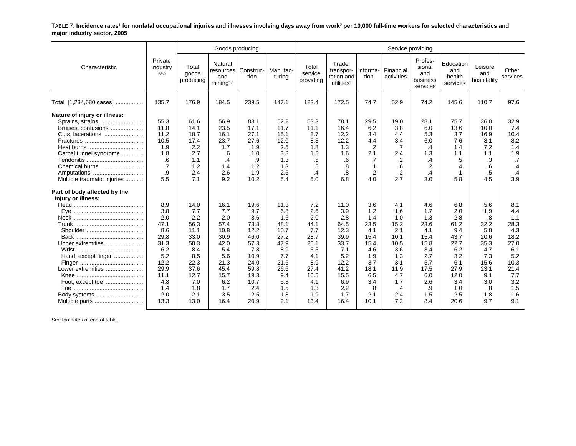TABLE 7. **Incidence rates**1 **for nonfatal occupational injuries and illnesses involving days away from work**2 **per 10,000 full-time workers for selected characteristics and major industry sector, 2005**

|                                                                                                                                                         |                                                                                                                     |                                                                                                                       | Goods producing                                                                                                       |                                                                                                                         |                                                                                                                     |                                                                                                                    |                                                                                                                       |                                                                                                                  | Service providing                                                                                                    |                                                                                                                 |                                                                                                                    |                                                                                                                 |                                                                                                                   |
|---------------------------------------------------------------------------------------------------------------------------------------------------------|---------------------------------------------------------------------------------------------------------------------|-----------------------------------------------------------------------------------------------------------------------|-----------------------------------------------------------------------------------------------------------------------|-------------------------------------------------------------------------------------------------------------------------|---------------------------------------------------------------------------------------------------------------------|--------------------------------------------------------------------------------------------------------------------|-----------------------------------------------------------------------------------------------------------------------|------------------------------------------------------------------------------------------------------------------|----------------------------------------------------------------------------------------------------------------------|-----------------------------------------------------------------------------------------------------------------|--------------------------------------------------------------------------------------------------------------------|-----------------------------------------------------------------------------------------------------------------|-------------------------------------------------------------------------------------------------------------------|
| Characteristic                                                                                                                                          | Private<br>industry<br>3,4,5                                                                                        | Total<br>goods<br>producing                                                                                           | Natural<br>resources<br>and<br>minima <sup>3,4</sup>                                                                  | Construc-<br>tion                                                                                                       | Manufac-<br>turing                                                                                                  | Total<br>service<br>providing                                                                                      | Trade.<br>transpor-<br>tation and<br>utilities <sup>5</sup>                                                           | Informa-<br>tion                                                                                                 | Financial<br>activities                                                                                              | Profes-<br>sional<br>and<br>business<br>services                                                                | Education<br>and<br>health<br>services                                                                             | Leisure<br>and<br>hospitality                                                                                   | Other<br>services                                                                                                 |
| Total [1,234,680 cases]                                                                                                                                 | 135.7                                                                                                               | 176.9                                                                                                                 | 184.5                                                                                                                 | 239.5                                                                                                                   | 147.1                                                                                                               | 122.4                                                                                                              | 172.5                                                                                                                 | 74.7                                                                                                             | 52.9                                                                                                                 | 74.2                                                                                                            | 145.6                                                                                                              | 110.7                                                                                                           | 97.6                                                                                                              |
| Nature of injury or illness:<br>Sprains, strains<br>Bruises, contusions<br>Cuts, lacerations<br>Carpal tunnel syndrome<br>Chemical burns<br>Amputations | 55.3<br>11.8<br>11.2<br>10.5<br>1.9<br>1.8<br>.6<br>$\cdot$<br>.9<br>5.5                                            | 61.6<br>14.1<br>18.7<br>17.4<br>2.2<br>2.7<br>1.1<br>1.2<br>2.4<br>7.1                                                | 56.9<br>23.5<br>16.1<br>23.7<br>1.7<br>.6<br>.4<br>1.4<br>2.6<br>9.2                                                  | 83.1<br>17.1<br>27.1<br>27.6<br>1.9<br>1.0<br>.9<br>1.2<br>1.9<br>10.2                                                  | 52.2<br>11.7<br>15.1<br>12.0<br>2.5<br>3.8<br>1.3<br>1.3<br>2.6<br>5.4                                              | 53.3<br>11.1<br>8.7<br>8.3<br>1.8<br>1.5<br>.5<br>$.5\,$<br>$\cdot$<br>5.0                                         | 78.1<br>16.4<br>12.2<br>12.2<br>1.3<br>1.6<br>.6<br>.8<br>8.<br>6.8                                                   | 29.5<br>6.2<br>3.4<br>4.4<br>.2<br>2.1<br>.7<br>$\cdot$ 1<br>.2<br>4.0                                           | 19.0<br>3.8<br>4.4<br>3.4<br>.7<br>2.4<br>.2<br>.6<br>$\overline{2}$<br>2.7                                          | 28.1<br>6.0<br>5.3<br>6.0<br>.4<br>1.3<br>.4<br>$\cdot$<br>.4<br>3.0                                            | 75.7<br>13.6<br>3.7<br>7.6<br>1.4<br>1.1<br>.5<br>.4<br>.1<br>5.8                                                  | 36.0<br>10.0<br>16.9<br>8.1<br>7.2<br>1.1<br>.3<br>.6<br>.5<br>4.5                                              | 32.9<br>7.4<br>10.4<br>8.2<br>1.4<br>1.9<br>.7<br>$\cdot$<br>.4<br>3.9                                            |
| Multiple traumatic injuries<br>Part of body affected by the<br>injury or illness:                                                                       |                                                                                                                     |                                                                                                                       |                                                                                                                       |                                                                                                                         |                                                                                                                     |                                                                                                                    |                                                                                                                       |                                                                                                                  |                                                                                                                      |                                                                                                                 |                                                                                                                    |                                                                                                                 |                                                                                                                   |
| Upper extremities<br>Hand, except finger<br>Lower extremities<br>Body systems<br>Multiple parts                                                         | 8.9<br>3.8<br>2.0<br>47.1<br>8.6<br>29.8<br>31.3<br>6.2<br>5.2<br>12.2<br>29.9<br>11.1<br>4.8<br>1.4<br>2.0<br>13.3 | 14.0<br>7.7<br>2.2<br>56.3<br>11.1<br>33.0<br>50.3<br>8.4<br>8.5<br>22.3<br>37.6<br>12.7<br>7.0<br>1.8<br>2.1<br>13.0 | 16.1<br>7.7<br>2.0<br>57.4<br>10.8<br>30.9<br>42.0<br>5.4<br>5.6<br>21.3<br>45.4<br>15.7<br>6.2<br>1.7<br>3.5<br>16.4 | 19.6<br>9.7<br>3.6<br>73.8<br>12.2<br>46.0<br>57.3<br>7.8<br>10.9<br>24.0<br>59.8<br>19.3<br>10.7<br>2.4<br>2.5<br>20.9 | 11.3<br>6.8<br>1.6<br>48.1<br>10.7<br>27.2<br>47.9<br>8.9<br>7.7<br>21.6<br>26.6<br>9.4<br>5.3<br>1.5<br>1.8<br>9.1 | 7.2<br>2.6<br>2.0<br>44.1<br>7.7<br>28.7<br>25.1<br>5.5<br>4.1<br>8.9<br>27.4<br>10.5<br>4.1<br>1.3<br>1.9<br>13.4 | 11.0<br>3.9<br>2.8<br>64.5<br>12.3<br>39.9<br>33.7<br>7.1<br>5.2<br>12.2<br>41.2<br>15.5<br>6.9<br>2.2<br>1.7<br>16.4 | 3.6<br>1.2<br>1.4<br>23.5<br>4.1<br>15.4<br>15.4<br>4.6<br>1.9<br>3.7<br>18.1<br>6.5<br>3.4<br>.8<br>2.1<br>10.1 | 4.1<br>1.6<br>1.0<br>15.2<br>2.1<br>10.1<br>10.5<br>3.6<br>1.3<br>3.1<br>11.9<br>4.7<br>1.7<br>$\cdot$<br>2.4<br>7.2 | 4.6<br>1.7<br>1.3<br>23.6<br>4.1<br>15.4<br>15.8<br>3.4<br>2.7<br>5.7<br>17.5<br>6.0<br>2.6<br>.9<br>1.5<br>8.4 | 6.8<br>2.0<br>2.8<br>61.2<br>9.4<br>43.7<br>22.7<br>6.2<br>3.2<br>6.1<br>27.9<br>12.0<br>3.4<br>1.0<br>2.5<br>20.6 | 5.6<br>1.9<br>.8<br>32.2<br>5.8<br>20.6<br>35.3<br>4.7<br>7.3<br>15.6<br>23.1<br>9.1<br>3.0<br>.8<br>1.8<br>9.7 | 8.1<br>4.4<br>1.1<br>28.3<br>4.3<br>18.2<br>27.0<br>6.1<br>5.2<br>10.3<br>21.4<br>7.7<br>3.2<br>1.5<br>1.6<br>9.1 |

See footnotes at end of table.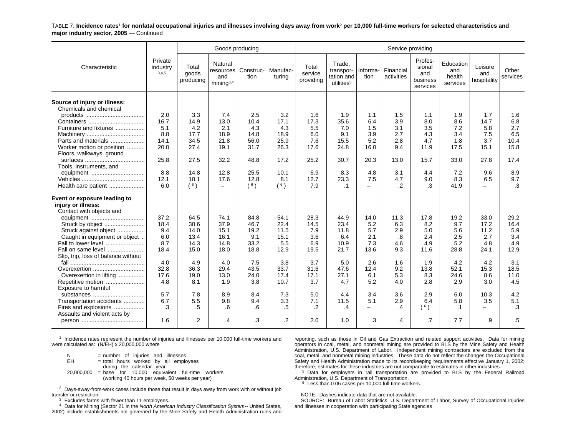TABLE 7. **Incidence rates**1 **for nonfatal occupational injuries and illnesses involving days away from work**2 **per 10,000 full-time workers for selected characteristics and major industry sector, 2005** — Continued

|                                                                                |                              |                             | Goods producing                                        |                   |                    |                               |                                                             |                                 | Service providing       |                                                  |                                        |                               |                   |
|--------------------------------------------------------------------------------|------------------------------|-----------------------------|--------------------------------------------------------|-------------------|--------------------|-------------------------------|-------------------------------------------------------------|---------------------------------|-------------------------|--------------------------------------------------|----------------------------------------|-------------------------------|-------------------|
| Characteristic                                                                 | Private<br>industry<br>3,4,5 | Total<br>goods<br>producing | Natural<br>resources  <br>and<br>mining <sup>3,4</sup> | Construc-<br>tion | Manufac-<br>turina | Total<br>service<br>providing | Trade,<br>transpor-<br>tation and<br>utilities <sup>5</sup> | Informa-<br>tion                | Financial<br>activities | Profes-<br>sional<br>and<br>business<br>services | Education<br>and<br>health<br>services | Leisure<br>and<br>hospitality | Other<br>services |
| Source of injury or illness:<br>Chemicals and chemical                         |                              |                             |                                                        |                   |                    |                               |                                                             |                                 |                         |                                                  |                                        |                               |                   |
|                                                                                | 2.0                          | 3.3                         | 7.4                                                    | 2.5               | 3.2                | 1.6                           | 1.9                                                         | 1.1                             | 1.5                     | 1.1                                              | 1.9                                    | 1.7                           | 1.6               |
|                                                                                | 16.7                         | 14.9                        | 13.0                                                   | 10.4              | 17.1               | 17.3                          | 35.6                                                        | 6.4                             | 3.9                     | 8.0                                              | 8.6                                    | 14.7                          | 6.8               |
| Furniture and fixtures                                                         | 5.1                          | 4.2                         | 2.1                                                    | 4.3               | 4.3                | 5.5                           | 7.0                                                         | 1.5                             | 3.1                     | 3.5                                              | 7.2                                    | 5.8                           | 2.7<br>6.5        |
| Parts and materials                                                            | 8.8<br>14.1                  | 17.7<br>34.5                | 18.9<br>21.8                                           | 14.8<br>56.0      | 18.9<br>25.9       | 6.0<br>7.6                    | 9.1<br>15.5                                                 | 3.9<br>5.2                      | 2.7<br>2.8              | 4.3<br>4.7                                       | 3.4<br>1.8                             | 7.5<br>3.7                    | 10.4              |
| Worker motion or position                                                      | 20.0                         | 27.4                        | 19.1                                                   | 31.7              | 26.3               | 17.6                          | 24.8                                                        | 16.0                            | 9.4                     | 11.9                                             | 17.5                                   | 15.1                          | 15.8              |
| Floors, walkways, ground                                                       |                              |                             |                                                        |                   |                    |                               |                                                             |                                 |                         |                                                  |                                        |                               |                   |
|                                                                                | 25.8                         | 27.5                        | 32.2                                                   | 48.8              | 17.2               | 25.2                          | 30.7                                                        | 20.3                            | 13.0                    | 15.7                                             | 33.0                                   | 27.8                          | 17.4              |
| Tools, instruments, and                                                        |                              |                             |                                                        |                   |                    |                               |                                                             |                                 |                         |                                                  |                                        |                               |                   |
|                                                                                | 8.8                          | 14.8                        | 12.8                                                   | 25.5              | 10.1               | 6.9                           | 8.3                                                         | 4.8                             | 3.1                     | 4.4                                              | 7.2                                    | 9.6                           | 8.9               |
|                                                                                | 12.1                         | 10.1                        | 17.6                                                   | 12.8              | 8.1                | 12.7                          | 23.3                                                        | 7.5                             | 4.7                     | 9.0                                              | 8.3                                    | 6.5                           | 9.7               |
| Health care patient                                                            | 6.0                          | (6)                         | $\overline{\phantom{0}}$                               | (6)               | (6)                | 7.9                           | $\cdot$ 1                                                   | $\qquad \qquad -$               | .2                      | .3                                               | 41.9                                   | $\overline{\phantom{0}}$      | $\cdot$ 3         |
| Event or exposure leading to<br>injury or illness:<br>Contact with objects and |                              |                             |                                                        |                   |                    |                               |                                                             |                                 |                         |                                                  |                                        |                               |                   |
| equipment                                                                      | 37.2                         | 64.5                        | 74.1                                                   | 84.8              | 54.1               | 28.3                          | 44.9                                                        | 14.0                            | 11.3                    | 17.8                                             | 19.2                                   | 33.0                          | 29.2              |
| Struck by object                                                               | 18.4                         | 30.6                        | 37.9                                                   | 46.7              | 22.4               | 14.5                          | 23.4                                                        | 5.2                             | 6.3                     | 8.2                                              | 9.7                                    | 17.2                          | 16.4              |
| Struck against object                                                          | 9.4                          | 14.0                        | 15.1                                                   | 19.2              | 11.5               | 7.9                           | 11.8                                                        | 5.7                             | 2.9                     | 5.0                                              | 5.6                                    | 11.2                          | 5.9               |
| Caught in equipment or object<br>Fall to lower level                           | 6.0<br>8.7                   | 13.4<br>14.3                | 16.1<br>14.8                                           | 9.1<br>33.2       | 15.1<br>5.5        | 3.6<br>6.9                    | 6.4<br>10.9                                                 | 2.1<br>7.3                      | .8<br>4.6               | 2.4<br>4.9                                       | 2.5<br>5.2                             | 2.7<br>4.8                    | 3.4<br>4.9        |
| Fall on same level                                                             | 18.4                         | 15.0                        | 18.0                                                   | 18.8              | 12.9               | 19.5                          | 21.7                                                        | 13.6                            | 9.3                     | 11.6                                             | 28.8                                   | 24.1                          | 12.9              |
| Slip, trip, loss of balance without                                            |                              |                             |                                                        |                   |                    |                               |                                                             |                                 |                         |                                                  |                                        |                               |                   |
|                                                                                | 4.0                          | 4.9                         | 4.0                                                    | 7.5               | 3.8                | 3.7                           | 5.0                                                         | 2.6                             | 1.6                     | 1.9                                              | 4.2                                    | 4.2                           | 3.1               |
| Overexertion                                                                   | 32.8                         | 36.3                        | 29.4                                                   | 43.5              | 33.7               | 31.6                          | 47.6                                                        | 12.4                            | 9.2                     | 13.8                                             | 52.1                                   | 15.3                          | 18.5              |
| Overexertion in lifting                                                        | 17.6                         | 19.0                        | 13.0                                                   | 24.0              | 17.4               | 17.1                          | 27.1                                                        | 6.1                             | 5.3                     | 8.3                                              | 24.6                                   | 8.6                           | 11.0              |
| Repetitive motion                                                              | 4.8                          | 8.1                         | 1.9                                                    | 3.8               | 10.7               | 3.7                           | 4.7                                                         | 5.2                             | 4.0                     | 2.8                                              | 2.9                                    | 3.0                           | 4.5               |
| Exposure to harmful                                                            |                              |                             |                                                        |                   |                    |                               |                                                             |                                 |                         |                                                  |                                        |                               |                   |
| substances                                                                     | 5.7                          | 7.8                         | 8.9                                                    | 8.4               | 7.3                | 5.0                           | 4.4                                                         | 3.4                             | 3.6                     | 2.9                                              | 6.0                                    | 10.3                          | 4.2               |
| Transportation accidents<br>Fires and explosions                               | 6.7<br>.3                    | 5.5<br>.5                   | 9.8<br>.6                                              | 9.4<br>.6         | 3.3<br>.5          | 7.1<br>.2                     | 11.5<br>$\cdot$                                             | 5.1<br>$\overline{\phantom{m}}$ | 2.9<br>.4               | 6.4<br>(6)                                       | 5.8<br>$\cdot$ 1                       | 3.5<br>$\equiv$               | 5.1<br>.3         |
| Assaults and violent acts by                                                   |                              |                             |                                                        |                   |                    |                               |                                                             |                                 |                         |                                                  |                                        |                               |                   |
|                                                                                | 1.6                          | $\cdot$                     | .4                                                     | .3                | $\overline{2}$     | 2.0                           | 1.0                                                         | .3                              | .4                      | .7                                               | 7.7                                    | .9                            | .5                |
|                                                                                |                              |                             |                                                        |                   |                    |                               |                                                             |                                 |                         |                                                  |                                        |                               |                   |

 $1$  Incidence rates represent the number of injuries and illnesses per 10,000 full-time workers and were calculated as: (N/EH) x 20,000,000 where

 $N = number of injuries and illnesses$ <br> $EH = total hours worked by all embeds$  $=$  total hours worked by all employees during the calendar year 20,000,000 <sup>=</sup> base for 10,000 equivalent full-time workers (working 40 hours per week, 50 weeks per year)

 $^2$  Days-away-from-work cases include those that result in days away from work with or without job transfer or restriction.

 $3$  Excludes farms with fewer than 11 employees.

4 Data for Mining (Sector 21 in the *North American Industry Classification System--* United States,

2002) include establishments not governed by the Mine Safety and Health Administration rules and

reporting, such as those in Oil and Gas Extraction and related support activities. Data for mining operators in coal, metal, and nonmetal mining are provided to BLS by the Mine Safety and Health Administration, U.S. Department of Labor. Independent mining contractors are excluded from the coal, metal, and nonmetal mining industries. These data do not reflect the changes the Occupational Safety and Health Administration made to its recordkeeping requirements effective January 1, 2002; therefore, estimates for these industries are not comparable to estimates in other industries.

<sup>5</sup> Data for employers in rail transportation are provided to BLS by the Federal Railroad Administration, U.S. Department of Transportation.

 $6$  Less than 0.05 cases per 10,000 full-time workers.

NOTE: Dashes indicate data that are not available.

 SOURCE: Bureau of Labor Statistics, U.S. Department of Labor, Survey of Occupational Injuries and Illnesses in cooperation with participating State agencies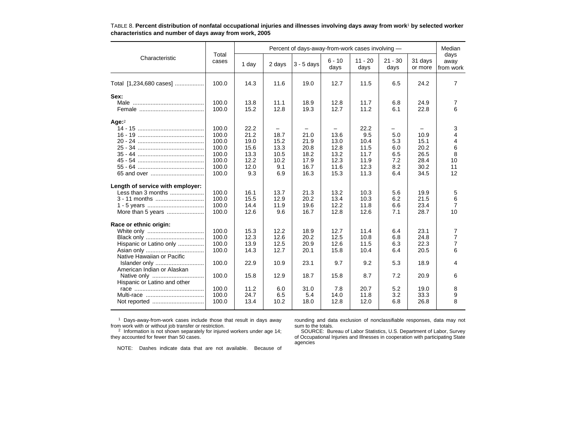|                                             |                |              |              | Percent of days-away-from-work cases involving - |                  |                   |                   |                    | Median                    |
|---------------------------------------------|----------------|--------------|--------------|--------------------------------------------------|------------------|-------------------|-------------------|--------------------|---------------------------|
| Characteristic                              | Total<br>cases | 1 day        | 2 days       | $3 - 5$ days                                     | $6 - 10$<br>days | $11 - 20$<br>days | $21 - 30$<br>days | 31 days<br>or more | days<br>away<br>from work |
| Total [1,234,680 cases]                     | 100.0          | 14.3         | 11.6         | 19.0                                             | 12.7             | 11.5              | 6.5               | 24.2               | 7                         |
| Sex:                                        |                |              |              |                                                  |                  |                   |                   |                    |                           |
|                                             | 100.0<br>100.0 | 13.8<br>15.2 | 11.1<br>12.8 | 18.9<br>19.3                                     | 12.8<br>12.7     | 11.7<br>11.2      | 6.8<br>6.1        | 24.9<br>22.8       | 7<br>6                    |
| Age $^2$                                    |                |              |              |                                                  |                  |                   |                   |                    |                           |
|                                             | 100.0          | 22.2         |              |                                                  |                  | 22.2              |                   |                    | 3                         |
|                                             | 100.0          | 21.2         | 18.7         | 21.0                                             | 13.6             | 9.5               | 5.0               | 10.9               | 4                         |
|                                             | 100.0          | 19.0         | 15.2         | 21.9                                             | 13.0             | 10.4              | 5.3               | 15.1               | 4                         |
|                                             | 100.0<br>100.0 | 15.6<br>13.3 | 13.3<br>10.5 | 20.8<br>18.2                                     | 12.8<br>13.2     | 11.5<br>11.7      | 6.0<br>6.5        | 20.2<br>26.5       | 6<br>8                    |
|                                             | 100.0          | 12.2         | 10.2         | 17.9                                             | 12.3             | 11.9              | 7.2               | 28.4               | 10                        |
|                                             | 100.0          | 12.0         | 9.1          | 16.7                                             | 11.6             | 12.3              | 8.2               | 30.2               | 11                        |
|                                             | 100.0          | 9.3          | 6.9          | 16.3                                             | 15.3             | 11.3              | 6.4               | 34.5               | 12                        |
| Length of service with employer:            |                |              |              |                                                  |                  |                   |                   |                    |                           |
| Less than 3 months                          | 100.0          | 16.1         | 13.7         | 21.3                                             | 13.2             | 10.3              | 5.6               | 19.9               | 5                         |
| 3 - 11 months                               | 100.0          | 15.5         | 12.9         | 20.2                                             | 13.4             | 10.3              | 6.2               | 21.5               | 6                         |
|                                             | 100.0          | 14.4         | 11.9         | 19.6                                             | 12.2             | 11.8              | 6.6               | 23.4               | $\overline{7}$            |
| More than 5 years                           | 100.0          | 12.6         | 9.6          | 16.7                                             | 12.8             | 12.6              | 7.1               | 28.7               | 10                        |
| Race or ethnic origin:                      |                |              |              |                                                  |                  |                   |                   |                    |                           |
|                                             | 100.0          | 15.3         | 12.2         | 18.9                                             | 12.7             | 11.4              | 6.4               | 23.1               | 7                         |
|                                             | 100.0          | 12.3         | 12.6         | 20.2                                             | 12.5             | 10.8              | 6.8               | 24.8               | 7                         |
| Hispanic or Latino only                     | 100.0          | 13.9         | 12.5         | 20.9                                             | 12.6             | 11.5              | 6.3               | 22.3               | $\overline{7}$            |
|                                             | 100.0          | 14.3         | 12.7         | 20.1                                             | 15.8             | 10.4              | 6.4               | 20.5               | 6                         |
| Native Hawaiian or Pacific                  |                |              |              |                                                  |                  |                   |                   |                    |                           |
| Islander only<br>American Indian or Alaskan | 100.0          | 22.9         | 10.9         | 23.1                                             | 9.7              | 9.2               | 5.3               | 18.9               | 4                         |
| Native only<br>Hispanic or Latino and other | 100.0          | 15.8         | 12.9         | 18.7                                             | 15.8             | 8.7               | 7.2               | 20.9               | 6                         |
|                                             | 100.0          | 11.2         | 6.0          | 31.0                                             | 7.8              | 20.7              | 5.2               | 19.0               | 8                         |
|                                             | 100.0          | 24.7         | 6.5          | 5.4                                              | 14.0             | 11.8              | 3.2               | 33.3               | 9                         |
|                                             | 100.0          | 13.4         | 10.2         | 18.0                                             | 12.8             | 12.0              | 6.8               | 26.8               | 8                         |
|                                             |                |              |              |                                                  |                  |                   |                   |                    |                           |

TABLE 8. **Percent distribution of nonfatal occupational injuries and illnesses involving days away from work**1 **by selected worker characteristics and number of days away from work, 2005**

<sup>1</sup> Days-away-from-work cases include those that result in days away from work with or without job transfer or restriction.

2 Information is not shown separately for injured workers under age 14; they accounted for fewer than 50 cases.

rounding and data exclusion of nonclassifiable responses, data may not sum to the totals.

agencies

SOURCE: Bureau of Labor Statistics, U.S. Department of Labor, Survey of Occupational Injuries and Illnesses in cooperation with participating State

NOTE: Dashes indicate data that are not available. Because of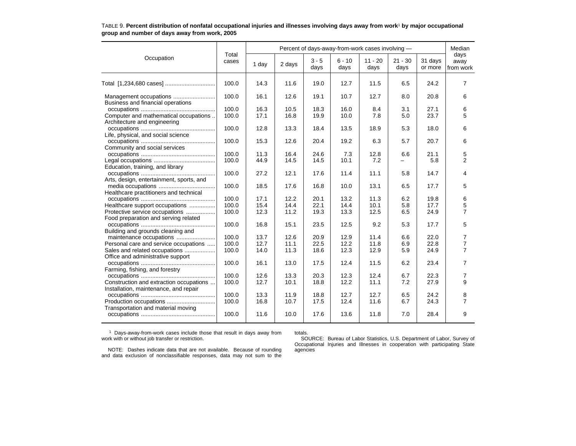|                                          | Total | Percent of days-away-from-work cases involving - |        |                 |                  |                   |                   |                    |                           |  |  |  |
|------------------------------------------|-------|--------------------------------------------------|--------|-----------------|------------------|-------------------|-------------------|--------------------|---------------------------|--|--|--|
| Occupation                               | cases | 1 day                                            | 2 days | $3 - 5$<br>days | $6 - 10$<br>days | $11 - 20$<br>days | $21 - 30$<br>days | 31 days<br>or more | days<br>away<br>from work |  |  |  |
|                                          | 100.0 | 14.3                                             | 11.6   | 19.0            | 12.7             | 11.5              | 6.5               | 24.2               | 7                         |  |  |  |
| Business and financial operations        | 100.0 | 16.1                                             | 12.6   | 19.1            | 10.7             | 12.7              | 8.0               | 20.8               | 6                         |  |  |  |
|                                          | 100.0 | 16.3                                             | 10.5   | 18.3            | 16.0             | 8.4               | 3.1               | 27.1               | 6                         |  |  |  |
| Computer and mathematical occupations    | 100.0 | 17.1                                             | 16.8   | 19.9            | 10.0             | 7.8               | 5.0               | 23.7               | 5                         |  |  |  |
| Architecture and engineering             |       |                                                  |        |                 |                  |                   |                   |                    |                           |  |  |  |
|                                          | 100.0 | 12.8                                             | 13.3   | 18.4            | 13.5             | 18.9              | 5.3               | 18.0               | 6                         |  |  |  |
| Life, physical, and social science       |       |                                                  |        |                 |                  |                   |                   |                    |                           |  |  |  |
|                                          | 100.0 | 15.3                                             | 12.6   | 20.4            | 19.2             | 6.3               | 5.7               | 20.7               | 6                         |  |  |  |
| Community and social services            |       |                                                  |        |                 |                  |                   |                   |                    |                           |  |  |  |
|                                          | 100.0 | 11.3                                             | 16.4   | 24.6            | 7.3              | 12.8              | 6.6               | 21.1               | 5                         |  |  |  |
|                                          | 100.0 | 44.9                                             | 14.5   | 14.5            | 10.1             | 7.2               |                   | 5.8                | 2                         |  |  |  |
| Education, training, and library         |       |                                                  |        |                 |                  |                   |                   |                    |                           |  |  |  |
|                                          | 100.0 | 27.2                                             | 12.1   | 17.6            | 11.4             | 11.1              | 5.8               | 14.7               | 4                         |  |  |  |
| Arts, design, entertainment, sports, and |       |                                                  |        |                 |                  |                   |                   |                    |                           |  |  |  |
|                                          | 100.0 | 18.5                                             | 17.6   | 16.8            | 10.0             | 13.1              | 6.5               | 17.7               | 5                         |  |  |  |
| Healthcare practitioners and technical   |       |                                                  |        |                 |                  |                   |                   |                    |                           |  |  |  |
|                                          | 100.0 | 17.1                                             | 12.2   | 20.1            | 13.2             | 11.3              | 6.2               | 19.8               | 6                         |  |  |  |
| Healthcare support occupations           | 100.0 | 15.4                                             | 14.4   | 22.1            | 14.4             | 10.1              | 5.8               | 17.7               | 5                         |  |  |  |
| Protective service occupations           | 100.0 | 12.3                                             | 11.2   | 19.3            | 13.3             | 12.5              | 6.5               | 24.9               | $\overline{7}$            |  |  |  |
| Food preparation and serving related     |       |                                                  |        |                 |                  |                   |                   |                    |                           |  |  |  |
|                                          | 100.0 | 16.8                                             | 15.1   | 23.5            | 12.5             | 9.2               | 5.3               | 17.7               | 5                         |  |  |  |
| Building and grounds cleaning and        |       |                                                  |        |                 |                  |                   |                   |                    |                           |  |  |  |
| maintenance occupations                  | 100.0 | 13.7                                             | 12.6   | 20.9            | 12.9             | 11.4              | 6.6               | 22.0               | 7                         |  |  |  |
| Personal care and service occupations    | 100.0 | 12.7                                             | 11.1   | 22.5            | 12.2             | 11.8              | 6.9               | 22.8               | 7                         |  |  |  |
| Sales and related occupations            | 100.0 | 14.0                                             | 11.3   | 18.6            | 12.3             | 12.9              | 5.9               | 24.9               | $\overline{7}$            |  |  |  |
| Office and administrative support        |       |                                                  |        |                 |                  |                   |                   |                    |                           |  |  |  |
|                                          | 100.0 | 16.1                                             | 13.0   | 17.5            | 12.4             | 11.5              | 6.2               | 23.4               | 7                         |  |  |  |
| Farming, fishing, and forestry           |       |                                                  |        |                 |                  |                   |                   |                    |                           |  |  |  |
|                                          | 100.0 | 12.6                                             | 13.3   | 20.3            | 12.3             | 12.4              | 6.7               | 22.3               | 7                         |  |  |  |
| Construction and extraction occupations  | 100.0 | 12.7                                             | 10.1   | 18.8            | 12.2             | 11.1              | 7.2               | 27.9               | 9                         |  |  |  |
| Installation, maintenance, and repair    |       |                                                  |        |                 |                  |                   |                   |                    |                           |  |  |  |
|                                          | 100.0 | 13.3                                             | 11.9   | 18.8            | 12.7             | 12.7              | 6.5               | 24.2               | 8                         |  |  |  |
|                                          | 100.0 | 16.8                                             | 10.7   | 17.5            | 12.4             | 11.6              | 6.7               | 24.3               | $\overline{7}$            |  |  |  |
| Transportation and material moving       |       |                                                  |        |                 |                  |                   |                   |                    |                           |  |  |  |
|                                          | 100.0 | 11.6                                             | 10.0   | 17.6            | 13.6             | 11.8              | 7.0               | 28.4               | 9                         |  |  |  |
|                                          |       |                                                  |        |                 |                  |                   |                   |                    |                           |  |  |  |

#### TABLE 9. **Percent distribution of nonfatal occupational injuries and illnesses involving days away from work**1 **by major occupational group and number of days away from work, 2005**

1 Days-away-from-work cases include those that result in days away from work with or without job transfer or restriction.

totals. SOURCE: Bureau of Labor Statistics, U.S. Department of Labor, Survey of Occupational Injuries and Illnesses in cooperation with participating State agencies

NOTE: Dashes indicate data that are not available. Because of rounding and data exclusion of nonclassifiable responses, data may not sum to the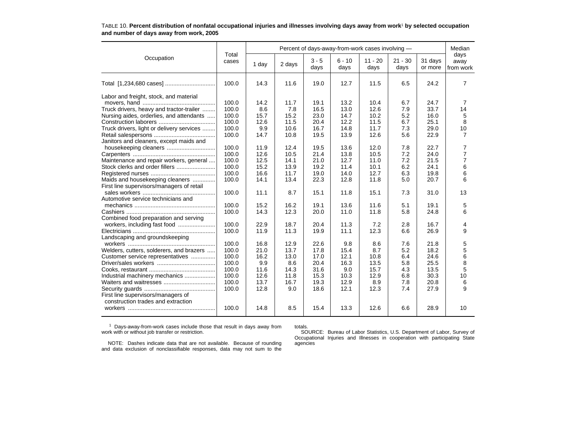|                                           |                | Percent of days-away-from-work cases involving - |        |                 |                  |                   |                   |                    |                           |  |  |  |
|-------------------------------------------|----------------|--------------------------------------------------|--------|-----------------|------------------|-------------------|-------------------|--------------------|---------------------------|--|--|--|
| Occupation                                | Total<br>cases | 1 day                                            | 2 days | $3 - 5$<br>days | $6 - 10$<br>days | $11 - 20$<br>days | $21 - 30$<br>days | 31 days<br>or more | days<br>away<br>from work |  |  |  |
|                                           | 100.0          | 14.3                                             | 11.6   | 19.0            | 12.7             | 11.5              | 6.5               | 24.2               | 7                         |  |  |  |
| Labor and freight, stock, and material    |                |                                                  |        |                 |                  |                   |                   |                    |                           |  |  |  |
|                                           | 100.0          | 14.2                                             | 11.7   | 19.1            | 13.2             | 10.4              | 6.7               | 24.7               | 7                         |  |  |  |
| Truck drivers, heavy and tractor-trailer  | 100.0          | 8.6                                              | 7.8    | 16.5            | 13.0             | 12.6              | 7.9               | 33.7               | 14                        |  |  |  |
| Nursing aides, orderlies, and attendants  | 100.0          | 15.7                                             | 15.2   | 23.0            | 14.7             | 10.2              | 5.2               | 16.0               | 5                         |  |  |  |
|                                           | 100.0          | 12.6                                             | 11.5   | 20.4            | 12.2             | 11.5              | 6.7               | 25.1               | 8                         |  |  |  |
| Truck drivers, light or delivery services | 100.0          | 9.9                                              | 10.6   | 16.7            | 14.8             | 11.7              | 7.3               | 29.0               | 10                        |  |  |  |
|                                           | 100.0          | 14.7                                             | 10.8   | 19.5            | 13.9             | 12.6              | 5.6               | 22.9               | $\overline{7}$            |  |  |  |
| Janitors and cleaners, except maids and   |                |                                                  |        |                 |                  |                   |                   |                    |                           |  |  |  |
| housekeeping cleaners                     | 100.0          | 11.9                                             | 12.4   | 19.5            | 13.6             | 12.0              | 7.8               | 22.7               | 7                         |  |  |  |
|                                           | 100.0          | 12.6                                             | 10.5   | 21.4            | 13.8             | 10.5              | 7.2               | 24.0               | $\overline{7}$            |  |  |  |
| Maintenance and repair workers, general   | 100.0          | 12.5                                             | 14.1   | 21.0            | 12.7             | 11.0              | 7.2               | 21.5               | $\overline{7}$            |  |  |  |
| Stock clerks and order fillers            | 100.0          | 15.2                                             | 13.9   | 19.2            | 11.4             | 10.1              | 6.2               | 24.1               | 6                         |  |  |  |
|                                           | 100.0          | 16.6                                             | 11.7   | 19.0            | 14.0             | 12.7              | 6.3               | 19.8               | 6                         |  |  |  |
| Maids and housekeeping cleaners           | 100.0          | 14.1                                             | 13.4   | 22.3            | 12.8             | 11.8              | 5.0               | 20.7               | 6                         |  |  |  |
| First line supervisors/managers of retail |                |                                                  |        |                 |                  |                   |                   |                    |                           |  |  |  |
|                                           | 100.0          | 11.1                                             | 8.7    | 15.1            | 11.8             | 15.1              | 7.3               | 31.0               | 13                        |  |  |  |
| Automotive service technicians and        |                |                                                  |        |                 |                  |                   |                   |                    |                           |  |  |  |
|                                           | 100.0          | 15.2                                             | 16.2   | 19.1            | 13.6             | 11.6              | 5.1               | 19.1               | 5                         |  |  |  |
|                                           | 100.0          | 14.3                                             | 12.3   | 20.0            | 11.0             | 11.8              | 5.8               | 24.8               | 6                         |  |  |  |
| Combined food preparation and serving     |                |                                                  |        |                 |                  |                   |                   |                    |                           |  |  |  |
| workers, including fast food              | 100.0          | 22.9                                             | 18.7   | 20.4            | 11.3             | 7.2               | 2.8               | 16.7               | 4                         |  |  |  |
|                                           | 100.0          | 11.9                                             | 11.3   | 19.9            | 11.1             | 12.3              | 6.6               | 26.9               | 9                         |  |  |  |
| Landscaping and groundskeeping            |                |                                                  |        |                 |                  |                   |                   |                    |                           |  |  |  |
|                                           | 100.0          | 16.8                                             | 12.9   | 22.6            | 9.8              | 8.6               | 7.6               | 21.8               | 5                         |  |  |  |
| Welders, cutters, solderers, and brazers  | 100.0          | 21.0                                             | 13.7   | 17.8            | 15.4             | 8.7               | 5.2               | 18.2               | 5                         |  |  |  |
| Customer service representatives          | 100.0          | 16.2                                             | 13.0   | 17.0            | 12.1             | 10.8              | 6.4               | 24.6               | 6                         |  |  |  |
|                                           | 100.0          | 9.9                                              | 8.6    | 20.4            | 16.3             | 13.5              | 5.8               | 25.5               | 8                         |  |  |  |
|                                           | 100.0          | 11.6                                             | 14.3   | 31.6            | 9.0              | 15.7              | 4.3               | 13.5               | 5                         |  |  |  |
| Industrial machinery mechanics            | 100.0          | 12.6                                             | 11.8   | 15.3            | 10.3             | 12.9              | 6.8               | 30.3               | 10                        |  |  |  |
|                                           | 100.0          | 13.7                                             | 16.7   | 19.3            | 12.9             | 8.9               | 7.8               | 20.8               | 6                         |  |  |  |
|                                           | 100.0          | 12.8                                             | 9.0    | 18.6            | 12.1             | 12.3              | 7.4               | 27.9               | 9                         |  |  |  |
| First line supervisors/managers of        |                |                                                  |        |                 |                  |                   |                   |                    |                           |  |  |  |
| construction trades and extraction        |                |                                                  |        |                 |                  |                   |                   |                    |                           |  |  |  |
|                                           | 100.0          | 14.8                                             | 8.5    | 15.4            | 13.3             | 12.6              | 6.6               | 28.9               | 10                        |  |  |  |

#### TABLE 10. **Percent distribution of nonfatal occupational injuries and illnesses involving days away from work**1 **by selected occupation and number of days away from work, 2005**

<sup>1</sup> Days-away-from-work cases include those that result in days away from work with or without job transfer or restriction.

totals.

 SOURCE: Bureau of Labor Statistics, U.S. Department of Labor, Survey of Occupational Injuries and Illnesses in cooperation with participating State agencies

NOTE: Dashes indicate data that are not available. Because of rounding and data exclusion of nonclassifiable responses, data may not sum to the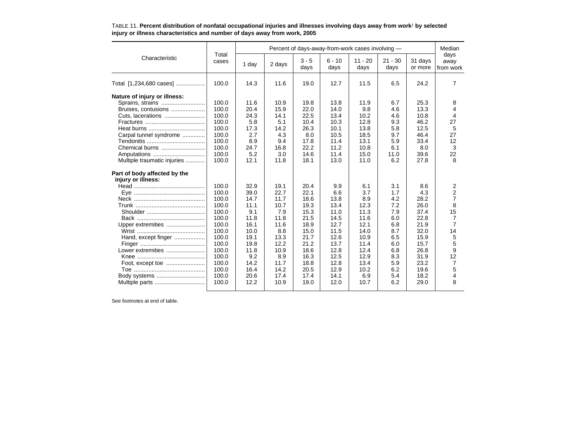|                              |                | Percent of days-away-from-work cases involving - |        |                 |                  |                   |                   |                    |                           |  |  |
|------------------------------|----------------|--------------------------------------------------|--------|-----------------|------------------|-------------------|-------------------|--------------------|---------------------------|--|--|
| Characteristic               | Total<br>cases | 1 day                                            | 2 days | $3 - 5$<br>days | $6 - 10$<br>days | $11 - 20$<br>days | $21 - 30$<br>days | 31 days<br>or more | days<br>away<br>from work |  |  |
| Total [1,234,680 cases]      | 100.0          | 14.3                                             | 11.6   | 19.0            | 12.7             | 11.5              | 6.5               | 24.2               | 7                         |  |  |
| Nature of injury or illness: |                |                                                  |        |                 |                  |                   |                   |                    |                           |  |  |
| Sprains, strains             | 100.0          | 11.6                                             | 10.9   | 19.8            | 13.8             | 11.9              | 6.7               | 25.3               | 8                         |  |  |
| Bruises, contusions          | 100.0          | 20.4                                             | 15.9   | 22.0            | 14.0             | 9.8               | 4.6               | 13.3               | 4                         |  |  |
|                              | 100.0          | 24.3                                             | 14.1   | 22.5            | 13.4             | 10.2              | 4.6               | 10.8               | 4                         |  |  |
|                              | 100.0          | 5.8                                              | 5.1    | 10.4            | 10.3             | 12.8              | 9.3               | 46.2               | 27                        |  |  |
|                              | 100.0          | 17.3                                             | 14.2   | 26.3            | 10.1             | 13.8              | 5.8               | 12.5               | 5                         |  |  |
| Carpal tunnel syndrome       | 100.0          | 2.7                                              | 4.3    | 8.0             | 10.5             | 18.5              | 9.7               | 46.4               | 27                        |  |  |
|                              | 100.0          | 8.9                                              | 9.4    | 17.8            | 11.4             | 13.1              | 5.9               | 33.4               | 12                        |  |  |
| Chemical burns               | 100.0          | 24.7                                             | 16.8   | 22.2            | 11.2             | 10.8              | 6.1               | 8.0                | 3                         |  |  |
| Amputations                  | 100.0          | 5.2                                              | 3.0    | 14.6            | 11.4             | 15.0              | 11.0              | 39.6               | 22                        |  |  |
| Multiple traumatic injuries  | 100.0          | 12.1                                             | 11.8   | 18.1            | 13.0             | 11.0              | 6.2               | 27.8               | 8                         |  |  |
| Part of body affected by the |                |                                                  |        |                 |                  |                   |                   |                    |                           |  |  |
| injury or illness:           |                |                                                  |        |                 |                  |                   |                   |                    |                           |  |  |
|                              | 100.0          | 32.9                                             | 19.1   | 20.4            | 9.9              | 6.1               | 3.1               | 8.6                | 2                         |  |  |
|                              | 100.0          | 39.0                                             | 22.7   | 22.1            | 6.6              | 3.7               | 1.7               | 4.3                | $\overline{2}$            |  |  |
|                              | 100.0          | 14.7                                             | 11.7   | 18.6            | 13.8             | 8.9               | 4.2               | 28.2               | $\overline{7}$            |  |  |
|                              | 100.0          | 11.1                                             | 10.7   | 19.3            | 13.4             | 12.3              | 7.2               | 26.0               | 8                         |  |  |
|                              | 100.0          | 9.1                                              | 7.9    | 15.3            | 11.0             | 11.3              | 7.9               | 37.4               | 15                        |  |  |
|                              | 100.0          | 11.8                                             | 11.8   | 21.5            | 14.5             | 11.6              | 6.0               | 22.8               | 7                         |  |  |
| Upper extremities            | 100.0          | 16.1                                             | 11.6   | 18.9            | 12.7             | 12.1              | 6.8               | 21.9               | $\overline{7}$            |  |  |
|                              | 100.0          | 10.0                                             | 8.8    | 15.0            | 11.5             | 14.0              | 8.7               | 32.0               | 14                        |  |  |
| Hand, except finger          | 100.0          | 19.1                                             | 13.3   | 21.7            | 12.6             | 10.9              | 6.5               | 15.9               | 5                         |  |  |
|                              | 100.0          | 19.8                                             | 12.2   | 21.2            | 13.7             | 11.4              | 6.0               | 15.7               | 5                         |  |  |
| Lower extremities            | 100.0          | 11.8                                             | 10.9   | 18.6            | 12.8             | 12.4              | 6.8               | 26.8               | 9                         |  |  |
|                              | 100.0          | 9.2                                              | 8.9    | 16.3            | 12.5             | 12.9              | 8.3               | 31.9               | 12                        |  |  |
|                              | 100.0          | 14.2                                             | 11.7   | 18.8            | 12.8             | 13.4              | 5.9               | 23.2               | 7                         |  |  |
|                              | 100.0          | 16.4                                             | 14.2   | 20.5            | 12.9             | 10.2              | 6.2               | 19.6               | 5                         |  |  |
|                              | 100.0          | 20.6                                             | 17.4   | 17.4            | 14.1             | 6.9               | 5.4               | 18.2               | 4                         |  |  |
| Multiple parts               | 100.0          | 12.2                                             | 10.9   | 19.0            | 12.0             | 10.7              | 6.2               | 29.0               | 8                         |  |  |
|                              |                |                                                  |        |                 |                  |                   |                   |                    |                           |  |  |

#### TABLE 11. **Percent distribution of nonfatal occupational injuries and illnesses involving days away from work**1 **by selected injury or illness characteristics and number of days away from work, 2005**

See footnotes at end of table.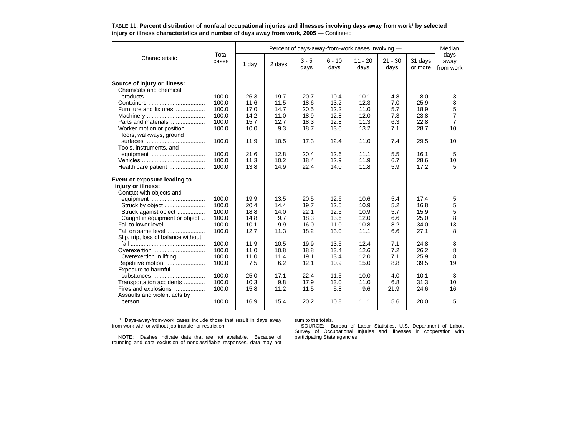|                                     |                | Percent of days-away-from-work cases involving - |        |                 |                  |                   |                   |                    |                           |  |  |  |
|-------------------------------------|----------------|--------------------------------------------------|--------|-----------------|------------------|-------------------|-------------------|--------------------|---------------------------|--|--|--|
| Characteristic                      | Total<br>cases | 1 day                                            | 2 days | $3 - 5$<br>days | $6 - 10$<br>days | $11 - 20$<br>days | $21 - 30$<br>days | 31 days<br>or more | days<br>away<br>from work |  |  |  |
|                                     |                |                                                  |        |                 |                  |                   |                   |                    |                           |  |  |  |
| Source of injury or illness:        |                |                                                  |        |                 |                  |                   |                   |                    |                           |  |  |  |
| Chemicals and chemical              |                |                                                  |        |                 |                  |                   |                   |                    |                           |  |  |  |
|                                     | 100.0          | 26.3                                             | 19.7   | 20.7            | 10.4             | 10.1              | 4.8               | 8.0                | 3                         |  |  |  |
|                                     | 100.0          | 11.6                                             | 11.5   | 18.6            | 13.2             | 12.3              | 7.0               | 25.9               | 8                         |  |  |  |
| Furniture and fixtures              | 100.0          | 17.0                                             | 14.7   | 20.5            | 12.2             | 11.0              | 5.7               | 18.9               | 5                         |  |  |  |
|                                     | 100.0          | 14.2                                             | 11.0   | 18.9            | 12.8             | 12.0              | 7.3               | 23.8               | $\overline{7}$            |  |  |  |
| Parts and materials                 | 100.0          | 15.7                                             | 12.7   | 18.3            | 12.8             | 11.3              | 6.3               | 22.8               | 7                         |  |  |  |
| Worker motion or position           | 100.0          | 10.0                                             | 9.3    | 18.7            | 13.0             | 13.2              | 7.1               | 28.7               | 10                        |  |  |  |
| Floors, walkways, ground            |                |                                                  |        |                 |                  |                   |                   |                    |                           |  |  |  |
|                                     | 100.0          | 11.9                                             | 10.5   | 17.3            | 12.4             | 11.0              | 7.4               | 29.5               | 10                        |  |  |  |
| Tools, instruments, and             |                |                                                  |        |                 |                  |                   |                   |                    |                           |  |  |  |
|                                     | 100.0          | 21.6                                             | 12.8   | 20.4            | 12.6             | 11.1              | 5.5               | 16.1               | 5                         |  |  |  |
|                                     | 100.0          | 11.3                                             | 10.2   | 18.4            | 12.9             | 11.9              | 6.7               | 28.6               | 10                        |  |  |  |
| Health care patient                 | 100.0          | 13.8                                             | 14.9   | 22.4            | 14.0             | 11.8              | 5.9               | 17.2               | 5                         |  |  |  |
| Event or exposure leading to        |                |                                                  |        |                 |                  |                   |                   |                    |                           |  |  |  |
| injury or illness:                  |                |                                                  |        |                 |                  |                   |                   |                    |                           |  |  |  |
| Contact with objects and            |                |                                                  |        |                 |                  |                   |                   |                    |                           |  |  |  |
| equipment                           | 100.0          | 19.9                                             | 13.5   | 20.5            | 12.6             | 10.6              | 5.4               | 17.4               | 5                         |  |  |  |
|                                     | 100.0          | 20.4                                             | 14.4   | 19.7            | 12.5             | 10.9              | 5.2               | 16.8               | 5                         |  |  |  |
| Struck against object               | 100.0          | 18.8                                             | 14.0   | 22.1            | 12.5             | 10.9              | 5.7               | 15.9               | 5                         |  |  |  |
| Caught in equipment or object       | 100.0          | 14.8                                             | 9.7    | 18.3            | 13.6             | 12.0              | 6.6               | 25.0               | 8                         |  |  |  |
| Fall to lower level                 | 100.0          | 10.1                                             | 9.9    | 16.0            | 11.0             | 10.8              | 8.2               | 34.0               | 13                        |  |  |  |
| Fall on same level                  | 100.0          | 12.7                                             | 11.3   | 18.2            | 13.0             | 11.1              | 6.6               | 27.1               | 8                         |  |  |  |
| Slip, trip, loss of balance without |                |                                                  |        |                 |                  |                   |                   |                    |                           |  |  |  |
|                                     | 100.0          | 11.9                                             | 10.5   | 19.9            | 13.5             | 12.4              | 7.1               | 24.8               | 8                         |  |  |  |
| Overexertion                        | 100.0          | 11.0                                             | 10.8   | 18.8            | 13.4             | 12.6              | 7.2               | 26.2               | 8                         |  |  |  |
| Overexertion in lifting             | 100.0          | 11.0                                             | 11.4   | 19.1            | 13.4             | 12.0              | 7.1               | 25.9               | 8                         |  |  |  |
| Repetitive motion                   | 100.0          | 7.5                                              | 6.2    | 12.1            | 10.9             | 15.0              | 8.8               | 39.5               | 19                        |  |  |  |
| Exposure to harmful                 |                |                                                  |        |                 |                  |                   |                   |                    |                           |  |  |  |
| substances                          | 100.0          | 25.0                                             | 17.1   | 22.4            | 11.5             | 10.0              | 4.0               | 10.1               | 3                         |  |  |  |
| Transportation accidents            | 100.0          | 10.3                                             | 9.8    | 17.9            | 13.0             | 11.0              | 6.8               | 31.3               | 10                        |  |  |  |
| Fires and explosions                | 100.0          | 15.8                                             | 11.2   | 11.5            | 5.8              | 9.6               | 21.9              | 24.6               | 16                        |  |  |  |
| Assaults and violent acts by        |                |                                                  |        |                 |                  |                   |                   |                    |                           |  |  |  |
|                                     | 100.0          | 16.9                                             | 15.4   | 20.2            | 10.8             | 11.1              | 5.6               | 20.0               | 5                         |  |  |  |
|                                     |                |                                                  |        |                 |                  |                   |                   |                    |                           |  |  |  |

TABLE 11. **Percent distribution of nonfatal occupational injuries and illnesses involving days away from work**1 **by selected injury or illness characteristics and number of days away from work, 2005** — Continued

1 Days-away-from-work cases include those that result in days away from work with or without job transfer or restriction.

sum to the totals.

NOTE: Dashes indicate data that are not available. Because ofrounding and data exclusion of nonclassifiable responses, data may not

SOURCE: Bureau of Labor Statistics, U.S. Department of Labor, Survey of Occupational Injuries and Illnesses in cooperation with participating State agencies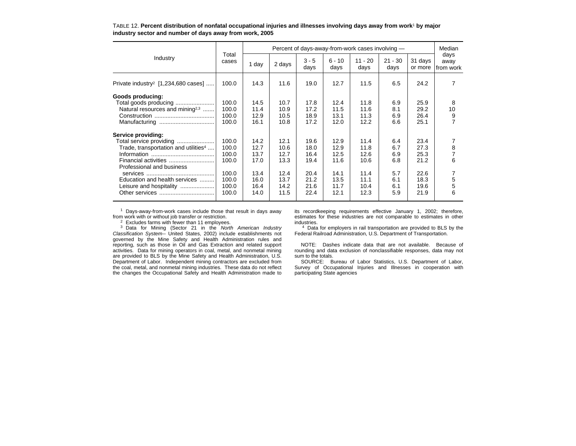|                                                  |                | Percent of days-away-from-work cases involving - |        |                 |                  |                   |                   |                    |                           |  |  |
|--------------------------------------------------|----------------|--------------------------------------------------|--------|-----------------|------------------|-------------------|-------------------|--------------------|---------------------------|--|--|
| Industry                                         | Total<br>cases | 1 day                                            | 2 days | $3 - 5$<br>days | $6 - 10$<br>days | $11 - 20$<br>days | $21 - 30$<br>days | 31 days<br>or more | days<br>away<br>from work |  |  |
| Private industry <sup>2</sup> [1,234,680 cases]  | 100.0          | 14.3                                             | 11.6   | 19.0            | 12.7             | 11.5              | 6.5               | 24.2               | 7                         |  |  |
| Goods producing:                                 |                |                                                  |        |                 |                  |                   |                   |                    |                           |  |  |
| Total goods producing                            | 100.0          | 14.5                                             | 10.7   | 17.8            | 12.4             | 11.8              | 6.9               | 25.9               | 8                         |  |  |
| Natural resources and mining <sup>2,3</sup>      | 100.0          | 11.4                                             | 10.9   | 17.2            | 11.5             | 11.6              | 8.1               | 29.2               | 10                        |  |  |
|                                                  | 100.0          | 12.9                                             | 10.5   | 18.9            | 13.1             | 11.3              | 6.9               | 26.4               | $\frac{9}{7}$             |  |  |
|                                                  | 100.0          | 16.1                                             | 10.8   | 17.2            | 12.0             | 12.2              | 6.6               | 25.1               |                           |  |  |
| Service providing:                               |                |                                                  |        |                 |                  |                   |                   |                    |                           |  |  |
| Total service providing                          | 100.0          | 14.2                                             | 12.1   | 19.6            | 12.9             | 11.4              | 6.4               | 23.4               |                           |  |  |
| Trade, transportation and utilities <sup>4</sup> | 100.0          | 12.7                                             | 10.6   | 18.0            | 12.9             | 11.8              | 6.7               | 27.3               | 8                         |  |  |
|                                                  | 100.0          | 13.7                                             | 12.7   | 16.4            | 12.5             | 12.6              | 6.9               | 25.3               | 7                         |  |  |
|                                                  | 100.0          | 17.0                                             | 13.3   | 19.4            | 11.6             | 10.6              | 6.8               | 21.2               | 6                         |  |  |
| Professional and business                        |                |                                                  |        |                 |                  |                   |                   |                    |                           |  |  |
|                                                  | 100.0          | 13.4                                             | 12.4   | 20.4            | 14.1             | 11.4              | 5.7               | 22.6               | 7                         |  |  |
| Education and health services                    | 100.0          | 16.0                                             | 13.7   | 21.2            | 13.5             | 11.1              | 6.1               | 18.3               | 5                         |  |  |
| Leisure and hospitality                          | 100.0          | 16.4                                             | 14.2   | 21.6            | 11.7             | 10.4              | 6.1               | 19.6               | 5                         |  |  |
|                                                  | 100.0          | 14.0                                             | 11.5   | 22.4            | 12.1             | 12.3              | 5.9               | 21.9               | 6                         |  |  |

TABLE 12. **Percent distribution of nonfatal occupational injuries and illnesses involving days away from work**1 **by major industry sector and number of days away from work, 2005**

1 Days-away-from-work cases include those that result in days away from work with or without job transfer or restriction.

 $2$  Excludes farms with fewer than 11 employees.

3 Data for Mining (Sector 21 in the *North American Industry Classification System--* United States, 2002) include establishments not governed by the Mine Safety and Health Administration rules and reporting, such as those in Oil and Gas Extraction and related support activities. Data for mining operators in coal, metal, and nonmetal mining are provided to BLS by the Mine Safety and Health Administration, U.S. Department of Labor. Independent mining contractors are excluded from the coal, metal, and nonmetal mining industries. These data do not reflect the changes the Occupational Safety and Health Administration made to its recordkeeping requirements effective January 1, 2002; therefore, estimates for these industries are not comparable to estimates in other industries.

<sup>4</sup> Data for employers in rail transportation are provided to BLS by the Federal Railroad Administration, U.S. Department of Transportation.

NOTE: Dashes indicate data that are not available. Because of rounding and data exclusion of nonclassifiable responses, data may not sum to the totals.

 SOURCE: Bureau of Labor Statistics, U.S. Department of Labor, Survey of Occupational Injuries and Illnesses in cooperation with participating State agencies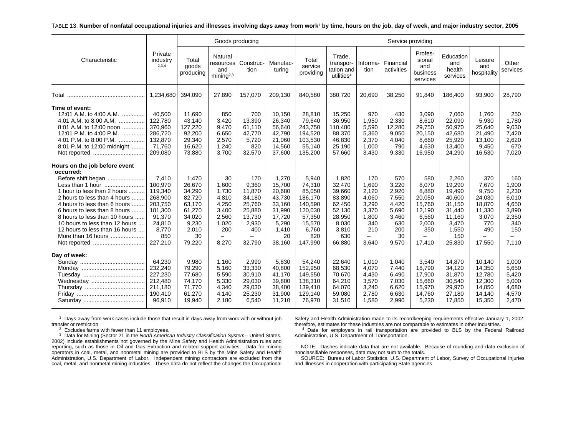#### TABLE 13. **Number of nonfatal occupational injuries and illnesses involving days away from work**1 **by time, hours on the job, day of week, and major industry sector, 2005**

|                                                                                                                                                                                                                                                                                                                                                                | Service providing<br>Goods producing                                                                        |                                                                                                     |                                                                                   |                                                                                                 |                                                                                                     |                                                                                                           |                                                                                                      |                                                                                  |                                                                                        |                                                                                        |                                                                                                      |                                                                                                                  |                                                                                  |
|----------------------------------------------------------------------------------------------------------------------------------------------------------------------------------------------------------------------------------------------------------------------------------------------------------------------------------------------------------------|-------------------------------------------------------------------------------------------------------------|-----------------------------------------------------------------------------------------------------|-----------------------------------------------------------------------------------|-------------------------------------------------------------------------------------------------|-----------------------------------------------------------------------------------------------------|-----------------------------------------------------------------------------------------------------------|------------------------------------------------------------------------------------------------------|----------------------------------------------------------------------------------|----------------------------------------------------------------------------------------|----------------------------------------------------------------------------------------|------------------------------------------------------------------------------------------------------|------------------------------------------------------------------------------------------------------------------|----------------------------------------------------------------------------------|
| Characteristic                                                                                                                                                                                                                                                                                                                                                 | Private<br>industry<br>2,3,4                                                                                | Total<br>goods<br>producing                                                                         | Natural<br>and<br>mining <sup>2,3</sup>                                           | resources   Construc-<br>tion                                                                   | Manufac-<br>turing                                                                                  | Total<br>service<br>providing                                                                             | Trade,<br>transpor-<br>tation and<br>utilities <sup>4</sup>                                          | Informa-<br>tion                                                                 | Financial<br>activities                                                                | Profes-<br>sional<br>and<br>business<br>services                                       | Education<br>and<br>health<br>services                                                               | Leisure<br>and<br>hospitality                                                                                    | Other<br>services                                                                |
|                                                                                                                                                                                                                                                                                                                                                                | 1,234,680                                                                                                   | 394,090                                                                                             | 27,890                                                                            | 157,070                                                                                         | 209,130                                                                                             | 840,580                                                                                                   | 380,720                                                                                              | 20,690                                                                           | 38,250                                                                                 | 91,840                                                                                 | 186,400                                                                                              | 93,900                                                                                                           | 28,790                                                                           |
| Time of event:<br>12:01 A.M. to 4:00 A.M.<br>4:01 A.M. to 8:00 A.M.<br>8:01 A.M. to 12:00 noon<br>12:01 P.M. to 4:00 P.M.<br>4:01 P.M. to 8:00 P.M.<br>.<br>8:01 P.M. to 12:00 midnight<br>Not reported                                                                                                                                                        | 40.500<br>122,780<br>370,960<br>286,720<br>132,870<br>71,760<br>209,080                                     | 11,690<br>43.140<br>127,220<br>92,200<br>29,340<br>16,620<br>73,880                                 | 850<br>3.420<br>9,470<br>6,650<br>2,570<br>1,240<br>3,700                         | 700<br>13.390<br>61,110<br>42,770<br>5,720<br>820<br>32,570                                     | 10,150<br>26,340<br>56,640<br>42,790<br>21,060<br>14,560<br>37,600                                  | 28,810<br>79,640<br>243,750<br>194,520<br>103,530<br>55,140<br>135,200                                    | 15,250<br>36,950<br>110,480<br>88,370<br>46,830<br>25,190<br>57,660                                  | 970<br>1,950<br>5,590<br>5,360<br>2,370<br>1,000<br>3,430                        | 430<br>2,330<br>12,280<br>9,050<br>4,040<br>790<br>9,330                               | 3,090<br>8,610<br>29,750<br>20,150<br>8,660<br>4,630<br>16,950                         | 7,060<br>22.090<br>50,970<br>42,680<br>25,920<br>13,400<br>24,290                                    | 1.760<br>5,930<br>25,640<br>21,490<br>13,100<br>9,450<br>16,530                                                  | 250<br>1,780<br>9,030<br>7,420<br>2,620<br>670<br>7,020                          |
| Hours on the job before event<br>occurred:<br>Before shift began<br>Less than 1 hour<br>1 hour to less than 2 hours<br>2 hours to less than 4 hours<br>4 hours to less than 6 hours<br>6 hours to less than 8 hours<br>8 hours to less than 10 hours<br>10 hours to less than 12 hours<br>12 hours to less than 16 hours<br>More than 16 hours<br>Not reported | 7,410<br>100,970<br>119,340<br>268,900<br>203.750<br>181,300<br>91,370<br>24,810<br>8.770<br>850<br>227,210 | 1,470<br>26,670<br>34,290<br>82,720<br>63.170<br>61,270<br>34,020<br>9,230<br>2,010<br>30<br>79,220 | 30<br>1,600<br>1.730<br>4,810<br>4,250<br>3,400<br>2,560<br>1,020<br>200<br>8.270 | 170<br>9,360<br>11.870<br>34,180<br>25.760<br>25,880<br>13,730<br>2,930<br>400<br>$-$<br>32.790 | 1,270<br>15,700<br>20.680<br>43,730<br>33.160<br>31,990<br>17,720<br>5,290<br>1,410<br>20<br>38.160 | 5,940<br>74,310<br>85,050<br>186,170<br>140,590<br>120,030<br>57,350<br>15,570<br>6.760<br>820<br>147,990 | 1,820<br>32,470<br>39.660<br>83,890<br>62,450<br>52,130<br>28,950<br>8,030<br>3.810<br>630<br>66,880 | 170<br>1,690<br>2,120<br>4,060<br>3,290<br>3,370<br>1,800<br>340<br>210<br>3,640 | 570<br>3,220<br>2,920<br>7,550<br>4.420<br>5,690<br>3,460<br>630<br>200<br>30<br>9,570 | 580<br>8,070<br>8,880<br>20,050<br>15,760<br>12,190<br>6,560<br>2,000<br>350<br>17,410 | 2,260<br>19,290<br>19,490<br>40,600<br>31.150<br>31,440<br>11,160<br>3,470<br>1.550<br>150<br>25,830 | 370<br>7,670<br>9.750<br>24,030<br>18.870<br>11,330<br>3,070<br>770<br>490<br>$\overline{\phantom{0}}$<br>17,550 | 160<br>1,900<br>2,230<br>6,010<br>4,650<br>3,890<br>2,350<br>340<br>150<br>7,110 |
| Day of week:                                                                                                                                                                                                                                                                                                                                                   | 64,230<br>232,240<br>227,230<br>212,480<br>211,180<br>190,410<br>96.910                                     | 9,980<br>79,290<br>77,680<br>74,170<br>71,770<br>61,270<br>19,940                                   | 1.160<br>5,160<br>5,590<br>5,330<br>4,340<br>4,140<br>2,180                       | 2,990<br>33,330<br>30,910<br>29.030<br>29,030<br>25,230<br>6.540                                | 5,830<br>40,800<br>41,170<br>39,800<br>38,400<br>31,900<br>11,210                                   | 54,240<br>152,950<br>149,550<br>138,310<br>139,410<br>129,140<br>76,970                                   | 22.640<br>68,530<br>70,670<br>64,210<br>64,070<br>59,080<br>31,510                                   | 1,010<br>4,070<br>4,430<br>3,570<br>3,240<br>2,780<br>1,580                      | 1.040<br>7,440<br>6,490<br>7,030<br>6,620<br>6,630<br>2,990                            | 3,540<br>18,790<br>17,900<br>15.660<br>15,970<br>14,760<br>5,230                       | 14,870<br>34,120<br>31,870<br>30,540<br>29,970<br>27,180<br>17,850                                   | 10.140<br>14,350<br>12,780<br>12,300<br>14,850<br>14,140<br>15,350                                               | 1,000<br>5,650<br>5,420<br>5,000<br>4,680<br>4,570<br>2,470                      |

 $1$  Days-away-from-work cases include those that result in days away from work with or without job transfer or restriction.

 2 Excludes farms with fewer than 11 employees. 3 Data for Mining (Sector 21 in the *North American Industry Classification System--* United States, 2002) include establishments not governed by the Mine Safety and Health Administration rules and reporting, such as those in Oil and Gas Extraction and related support activities. Data for mining operators in coal, metal, and nonmetal mining are provided to BLS by the Mine Safety and Health Administration, U.S. Department of Labor. Independent mining contractors are excluded from the coal, metal, and nonmetal mining industries. These data do not reflect the changes the Occupational

Safety and Health Administration made to its recordkeeping requirements effective January 1, 2002; therefore, estimates for these industries are not comparable to estimates in other industries.

4 Data for employers in rail transportation are provided to BLS by the Federal Railroad Administration, U.S. Department of Transportation.

NOTE: Dashes indicate data that are not available. Because of rounding and data exclusion of nonclassifiable responses, data may not sum to the totals.

SOURCE: Bureau of Labor Statistics, U.S. Department of Labor, Survey of Occupational Injuries and Illnesses in cooperation with participating State agencies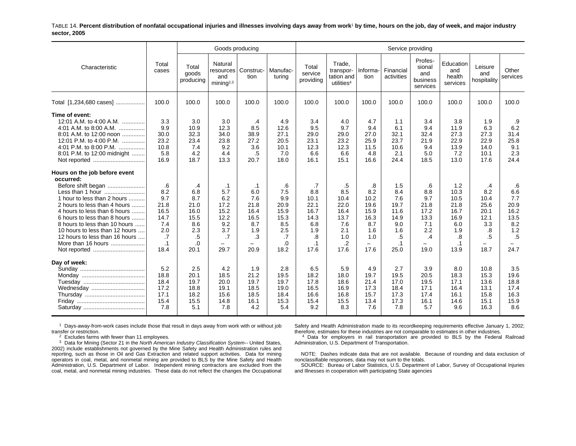TABLE 14. **Percent distribution of nonfatal occupational injuries and illnesses involving days away from work**1 **by time, hours on the job, day of week, and major industry sector, 2005**

|                                                                                                                                                                                                                                                                                                                                                                | Goods producing<br>Service providing                                       |                                                                            |                                                                      |                                                                                                         |                                                                            |                                                                                    |                                                                              |                                                                                                    |                                                                                    |                                                                                                  |                                                                                      |                                                                      |                                                                          |
|----------------------------------------------------------------------------------------------------------------------------------------------------------------------------------------------------------------------------------------------------------------------------------------------------------------------------------------------------------------|----------------------------------------------------------------------------|----------------------------------------------------------------------------|----------------------------------------------------------------------|---------------------------------------------------------------------------------------------------------|----------------------------------------------------------------------------|------------------------------------------------------------------------------------|------------------------------------------------------------------------------|----------------------------------------------------------------------------------------------------|------------------------------------------------------------------------------------|--------------------------------------------------------------------------------------------------|--------------------------------------------------------------------------------------|----------------------------------------------------------------------|--------------------------------------------------------------------------|
| Characteristic                                                                                                                                                                                                                                                                                                                                                 | Total<br>cases                                                             | Total<br>goods<br>producing                                                | Natural<br>resources<br>and<br>mining <sup>2,3</sup>                 | Construc-<br>tion                                                                                       | Manufac-<br>turing                                                         | Total<br>service<br>providing                                                      | Trade.<br>transpor-<br>tation and<br>utilities <sup>4</sup>                  | Informa-<br>tion                                                                                   | Financial<br>activities                                                            | Profes-<br>sional<br>and<br>business<br>services                                                 | Education<br>and<br>health<br>services                                               | Leisure<br>and<br>hospitality                                        | Other<br>services                                                        |
| Total [1,234,680 cases]                                                                                                                                                                                                                                                                                                                                        | 100.0                                                                      | 100.0                                                                      | 100.0                                                                | 100.0                                                                                                   | 100.0                                                                      | 100.0                                                                              | 100.0                                                                        | 100.0                                                                                              | 100.0                                                                              | 100.0                                                                                            | 100.0                                                                                | 100.0                                                                | 100.0                                                                    |
| Time of event:<br>12:01 A.M. to 4:00 A.M.<br>4:01 A.M. to 8:00 A.M.<br>8:01 A.M. to 12:00 noon<br>12:01 P.M. to 4:00 P.M.<br>4:01 P.M. to 8:00 P.M.<br>8:01 P.M. to 12:00 midnight                                                                                                                                                                             | 3.3<br>9.9<br>30.0<br>23.2<br>10.8<br>5.8<br>16.9                          | 3.0<br>10.9<br>32.3<br>23.4<br>7.4<br>4.2<br>18.7                          | 3.0<br>12.3<br>34.0<br>23.8<br>9.2<br>4.4<br>13.3                    | .4<br>8.5<br>38.9<br>27.2<br>3.6<br>.5<br>20.7                                                          | 4.9<br>12.6<br>27.1<br>20.5<br>10.1<br>7.0<br>18.0                         | 3.4<br>9.5<br>29.0<br>23.1<br>12.3<br>6.6<br>16.1                                  | 4.0<br>9.7<br>29.0<br>23.2<br>12.3<br>6.6<br>15.1                            | 4.7<br>9.4<br>27.0<br>25.9<br>11.5<br>4.8<br>16.6                                                  | 1.1<br>6.1<br>32.1<br>23.7<br>10.6<br>2.1<br>24.4                                  | 3.4<br>9.4<br>32.4<br>21.9<br>9.4<br>5.0<br>18.5                                                 | 3.8<br>11.9<br>27.3<br>22.9<br>13.9<br>7.2<br>13.0                                   | 1.9<br>6.3<br>27.3<br>22.9<br>14.0<br>10.1<br>17.6                   | .9<br>6.2<br>31.4<br>25.8<br>9.1<br>2.3<br>24.4                          |
| Hours on the job before event<br>occurred:<br>Before shift began<br>Less than 1 hour<br>1 hour to less than 2 hours<br>2 hours to less than 4 hours<br>4 hours to less than 6 hours<br>6 hours to less than 8 hours<br>8 hours to less than 10 hours<br>10 hours to less than 12 hours<br>12 hours to less than 16 hours<br>More than 16 hours<br>Not reported | .6<br>8.2<br>9.7<br>21.8<br>16.5<br>14.7<br>7.4<br>2.0<br>.7<br>.1<br>18.4 | .4<br>6.8<br>8.7<br>21.0<br>16.0<br>15.5<br>8.6<br>2.3<br>.5<br>.0<br>20.1 | .1<br>5.7<br>6.2<br>17.2<br>15.2<br>12.2<br>9.2<br>3.7<br>.7<br>29.7 | $\cdot$ 1<br>6.0<br>7.6<br>21.8<br>16.4<br>16.5<br>8.7<br>1.9<br>.3<br>$\overline{\phantom{0}}$<br>20.9 | .6<br>7.5<br>9.9<br>20.9<br>15.9<br>15.3<br>8.5<br>2.5<br>.7<br>.0<br>18.2 | .7<br>8.8<br>10.1<br>22.1<br>16.7<br>14.3<br>6.8<br>1.9<br>.8<br>$\cdot$ 1<br>17.6 | .5<br>8.5<br>10.4<br>22.0<br>16.4<br>13.7<br>7.6<br>2.1<br>1.0<br>.2<br>17.6 | .8<br>8.2<br>10.2<br>19.6<br>15.9<br>16.3<br>8.7<br>1.6<br>1.0<br>$\overline{\phantom{0}}$<br>17.6 | 1.5<br>8.4<br>7.6<br>19.7<br>11.6<br>14.9<br>9.0<br>1.6<br>.5<br>$\cdot$ 1<br>25.0 | .6<br>8.8<br>9.7<br>21.8<br>17.2<br>13.3<br>7.1<br>2.2<br>.4<br>$\overline{\phantom{0}}$<br>19.0 | 1.2<br>10.3<br>10.5<br>21.8<br>16.7<br>16.9<br>6.0<br>1.9<br>.8<br>$\cdot$ 1<br>13.9 | .4<br>8.2<br>10.4<br>25.6<br>20.1<br>12.1<br>3.3<br>.8<br>.5<br>18.7 | .6<br>6.6<br>7.7<br>20.9<br>16.2<br>13.5<br>8.2<br>1.2<br>$.5\,$<br>24.7 |
| Day of week:<br>Wednesday                                                                                                                                                                                                                                                                                                                                      | 5.2<br>18.8<br>18.4<br>17.2<br>17.1<br>15.4<br>7.8                         | 2.5<br>20.1<br>19.7<br>18.8<br>18.2<br>15.5<br>5.1                         | 4.2<br>18.5<br>20.0<br>19.1<br>15.6<br>14.8<br>7.8                   | 1.9<br>21.2<br>19.7<br>18.5<br>18.5<br>16.1<br>4.2                                                      | 2.8<br>19.5<br>19.7<br>19.0<br>18.4<br>15.3<br>5.4                         | 6.5<br>18.2<br>17.8<br>16.5<br>16.6<br>15.4<br>9.2                                 | 5.9<br>18.0<br>18.6<br>16.9<br>16.8<br>15.5<br>8.3                           | 4.9<br>19.7<br>21.4<br>17.3<br>15.7<br>13.4<br>7.6                                                 | 2.7<br>19.5<br>17.0<br>18.4<br>17.3<br>17.3<br>7.8                                 | 3.9<br>20.5<br>19.5<br>17.1<br>17.4<br>16.1<br>5.7                                               | 8.0<br>18.3<br>17.1<br>16.4<br>16.1<br>14.6<br>9.6                                   | 10.8<br>15.3<br>13.6<br>13.1<br>15.8<br>15.1<br>16.3                 | 3.5<br>19.6<br>18.8<br>17.4<br>16.3<br>15.9<br>8.6                       |

 $1$  Days-away-from-work cases include those that result in days away from work with or without job transfer or restriction.

 $2$  Excludes farms with fewer than 11 employees.

3 Data for Mining (Sector 21 in the *North American Industry Classification System--* United States, 2002) include establishments not governed by the Mine Safety and Health Administration rules and reporting, such as those in Oil and Gas Extraction and related support activities. Data for mining operators in coal, metal, and nonmetal mining are provided to BLS by the Mine Safety and Health Administration, U.S. Department of Labor. Independent mining contractors are excluded from the coal, metal, and nonmetal mining industries. These data do not reflect the changes the Occupational

Safety and Health Administration made to its recordkeeping requirements effective January 1, 2002; therefore, estimates for these industries are not comparable to estimates in other industries.

<sup>4</sup> Data for employers in rail transportation are provided to BLS by the Federal Railroad Administration, U.S. Department of Transportation.

NOTE: Dashes indicate data that are not available. Because of rounding and data exclusion of nonclassifiable responses, data may not sum to the totals.

SOURCE: Bureau of Labor Statistics, U.S. Department of Labor, Survey of Occupational Injuries and Illnesses in cooperation with participating State agencies